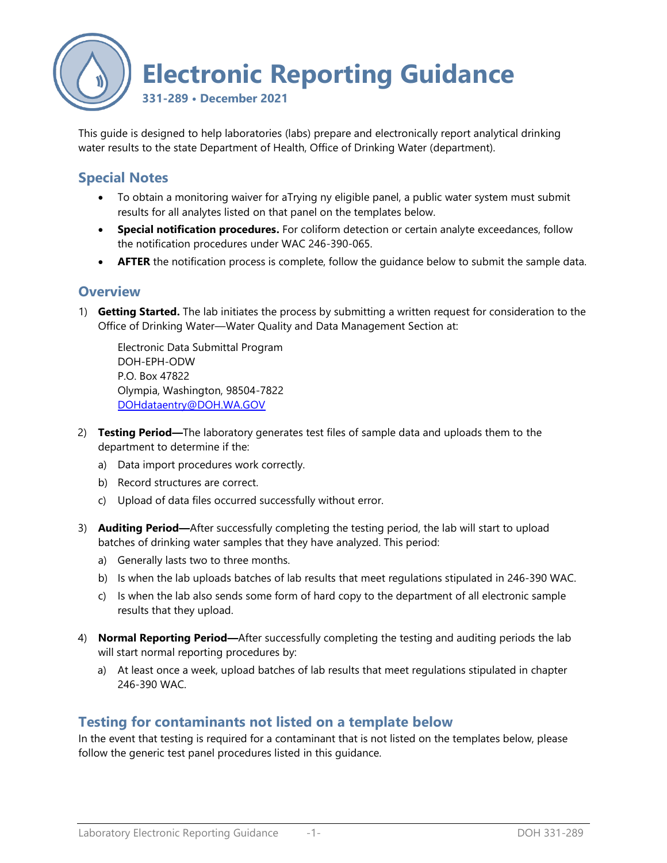

This guide is designed to help laboratories (labs) prepare and electronically report analytical drinking water results to the state Department of Health, Office of Drinking Water (department).

## **Special Notes**

- To obtain a monitoring waiver for aTrying ny eligible panel, a public water system must submit results for all analytes listed on that panel on the templates below.
- **Special notification procedures.** For coliform detection or certain analyte exceedances, follow the notification procedures under WAC 246-390-065.
- **AFTER** the notification process is complete, follow the guidance below to submit the sample data.

## **Overview**

1) **Getting Started.** The lab initiates the process by submitting a written request for consideration to the Office of Drinking Water—Water Quality and Data Management Section at:

Electronic Data Submittal Program DOH-EPH-ODW P.O. Box 47822 Olympia, Washington, 98504-7822 [DOHdataentry@DOH.WA.GOV](mailto:ODWdataentry@DOH.WA.GOV)

- 2) **Testing Period—**The laboratory generates test files of sample data and uploads them to the department to determine if the:
	- a) Data import procedures work correctly.
	- b) Record structures are correct.
	- c) Upload of data files occurred successfully without error.
- 3) **Auditing Period—**After successfully completing the testing period, the lab will start to upload batches of drinking water samples that they have analyzed. This period:
	- a) Generally lasts two to three months.
	- b) Is when the lab uploads batches of lab results that meet regulations stipulated in 246-390 WAC.
	- c) Is when the lab also sends some form of hard copy to the department of all electronic sample results that they upload.
- 4) **Normal Reporting Period—**After successfully completing the testing and auditing periods the lab will start normal reporting procedures by:
	- a) At least once a week, upload batches of lab results that meet regulations stipulated in chapter 246-390 WAC.

## **Testing for contaminants not listed on a template below**

In the event that testing is required for a contaminant that is not listed on the templates below, please follow the generic test panel procedures listed in this guidance.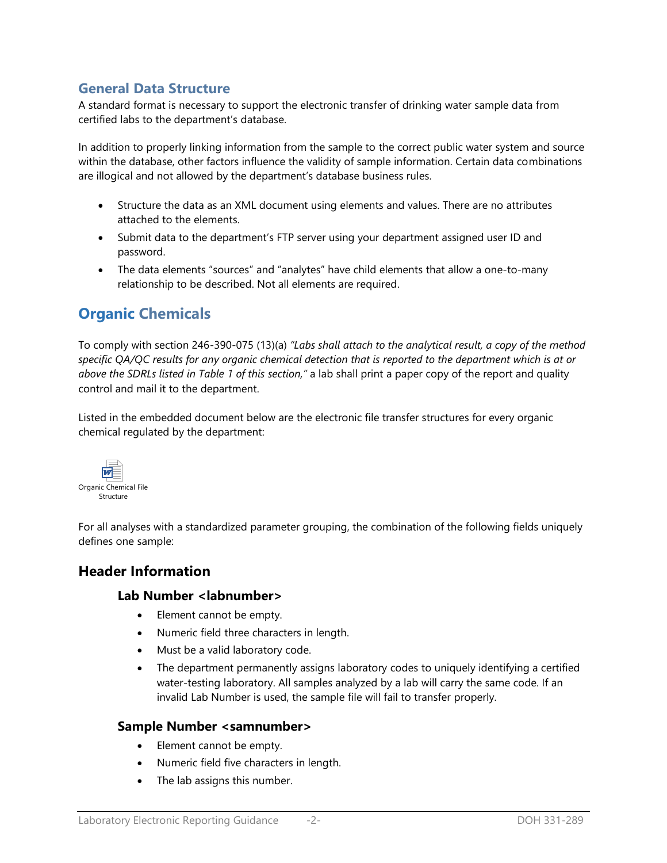## **General Data Structure**

A standard format is necessary to support the electronic transfer of drinking water sample data from certified labs to the department's database.

In addition to properly linking information from the sample to the correct public water system and source within the database, other factors influence the validity of sample information. Certain data combinations are illogical and not allowed by the department's database business rules.

- Structure the data as an XML document using elements and values. There are no attributes attached to the elements.
- Submit data to the department's FTP server using your department assigned user ID and password.
- The data elements "sources" and "analytes" have child elements that allow a one-to-many relationship to be described. Not all elements are required.

# **Organic Chemicals**

To comply with section 246-390-075 (13)(a) *"Labs shall attach to the analytical result, a copy of the method specific QA/QC results for any organic chemical detection that is reported to the department which is at or above the SDRLs listed in Table 1 of this section,"* a lab shall print a paper copy of the report and quality control and mail it to the department.

Listed in the embedded document below are the electronic file transfer structures for every organic chemical regulated by the department:



For all analyses with a standardized parameter grouping, the combination of the following fields uniquely defines one sample:

## **Header Information**

### **Lab Number <labnumber>**

- Element cannot be empty.
- Numeric field three characters in length.
- Must be a valid laboratory code.
- The department permanently assigns laboratory codes to uniquely identifying a certified water-testing laboratory. All samples analyzed by a lab will carry the same code. If an invalid Lab Number is used, the sample file will fail to transfer properly.

## **Sample Number <samnumber>**

- Element cannot be empty.
- Numeric field five characters in length.
- The lab assigns this number.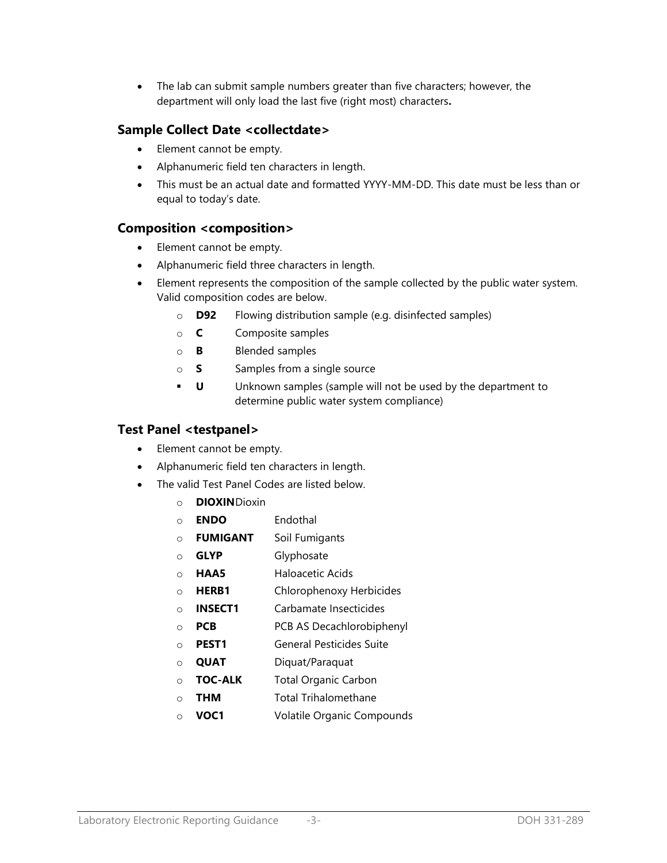The lab can submit sample numbers greater than five characters; however, the department will only load the last five (right most) characters**.**

## **Sample Collect Date <collectdate>**

- Element cannot be empty.
- Alphanumeric field ten characters in length.
- This must be an actual date and formatted YYYY-MM-DD. This date must be less than or equal to today's date.

## **Composition <composition>**

- Element cannot be empty.
- Alphanumeric field three characters in length.
- Element represents the composition of the sample collected by the public water system. Valid composition codes are below.
	- o **D92** Flowing distribution sample (e.g. disinfected samples)
	- o **C** Composite samples
	- o **B** Blended samples
	- o **S** Samples from a single source
	- **U** Unknown samples (sample will not be used by the department to determine public water system compliance)

### **Test Panel <testpanel>**

- Element cannot be empty.
- Alphanumeric field ten characters in length.
- The valid Test Panel Codes are listed below.
	- o **DIOXIN**Dioxin
	- o **ENDO** Endothal
	- o **FUMIGANT** Soil Fumigants
	- o **GLYP** Glyphosate
	- o **HAA5** Haloacetic Acids
	- o **HERB1** Chlorophenoxy Herbicides
	- o **INSECT1** Carbamate Insecticides
	- o **PCB** PCB AS Decachlorobiphenyl
	- o **PEST1** General Pesticides Suite
	- o **QUAT** Diquat/Paraquat
	- o **TOC-ALK** Total Organic Carbon
	- o **THM** Total Trihalomethane
	- o **VOC1** Volatile Organic Compounds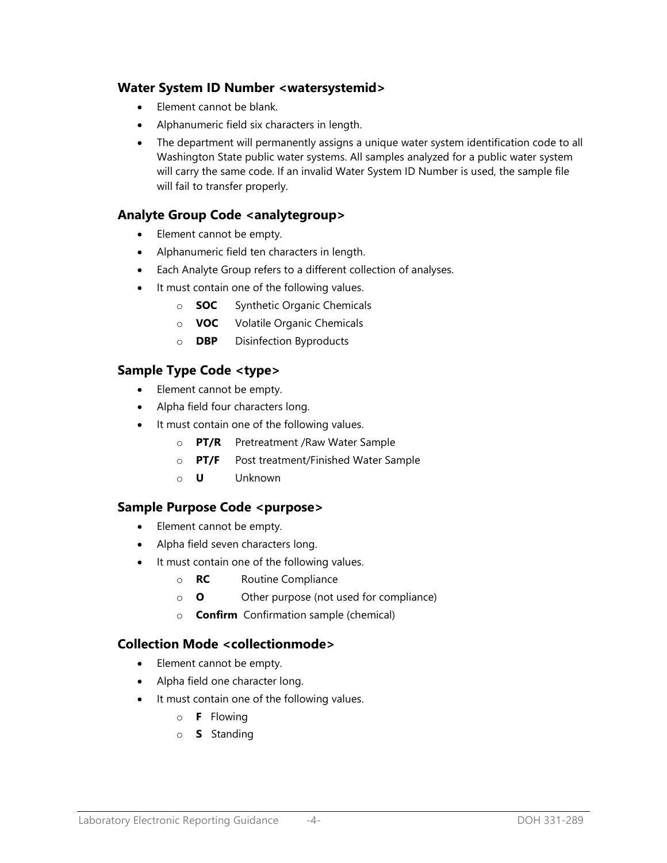## **Water System ID Number <watersystemid>**

- Element cannot be blank.
- Alphanumeric field six characters in length.
- The department will permanently assigns a unique water system identification code to all Washington State public water systems. All samples analyzed for a public water system will carry the same code. If an invalid Water System ID Number is used, the sample file will fail to transfer properly.

### **Analyte Group Code <analytegroup>**

- Element cannot be empty.
- Alphanumeric field ten characters in length.
- Each Analyte Group refers to a different collection of analyses.
- It must contain one of the following values.
	- o **SOC** Synthetic Organic Chemicals
	- o **VOC** Volatile Organic Chemicals
	- o **DBP** Disinfection Byproducts

### **Sample Type Code <type>**

- Element cannot be empty.
- Alpha field four characters long.
- It must contain one of the following values.
	- o **PT/R** Pretreatment /Raw Water Sample
	- o **PT/F** Post treatment/Finished Water Sample
	- o **U** Unknown

### **Sample Purpose Code <purpose>**

- Element cannot be empty.
- Alpha field seven characters long.
- It must contain one of the following values.
	- o **RC** Routine Compliance
	- o **O** Other purpose (not used for compliance)
	- o **Confirm** Confirmation sample (chemical)

### **Collection Mode <collectionmode>**

- Element cannot be empty.
- Alpha field one character long.
- It must contain one of the following values.
	- o **F** Flowing
	- o **S** Standing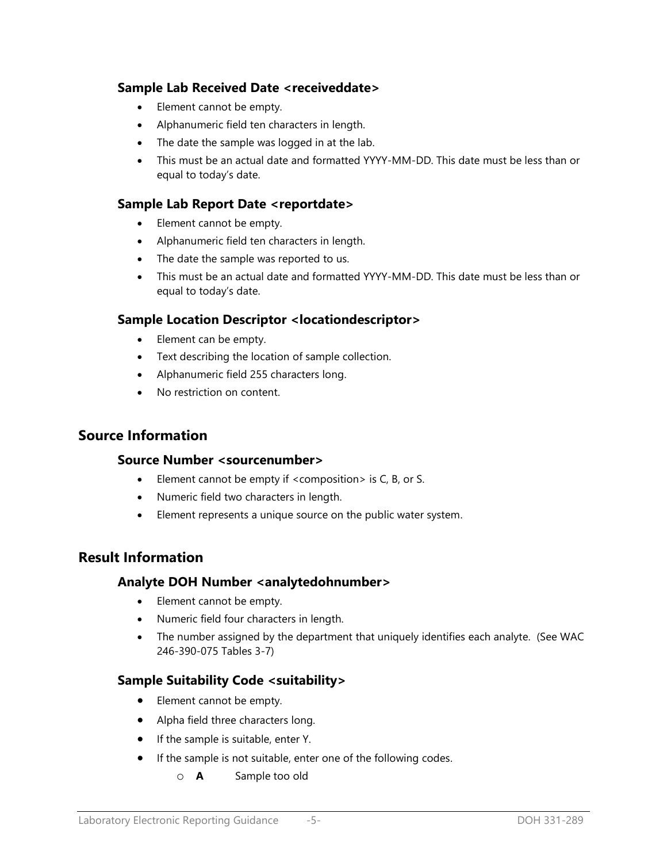## **Sample Lab Received Date <receiveddate>**

- Element cannot be empty.
- Alphanumeric field ten characters in length.
- The date the sample was logged in at the lab.
- This must be an actual date and formatted YYYY-MM-DD. This date must be less than or equal to today's date.

## **Sample Lab Report Date <reportdate>**

- Element cannot be empty.
- Alphanumeric field ten characters in length.
- The date the sample was reported to us.
- This must be an actual date and formatted YYYY-MM-DD. This date must be less than or equal to today's date.

### **Sample Location Descriptor <locationdescriptor>**

- Element can be empty.
- Text describing the location of sample collection.
- Alphanumeric field 255 characters long.
- No restriction on content.

## **Source Information**

### **Source Number <sourcenumber>**

- Element cannot be empty if <composition> is C, B, or S.
- Numeric field two characters in length.
- Element represents a unique source on the public water system.

## **Result Information**

### **Analyte DOH Number <analytedohnumber>**

- Element cannot be empty.
- Numeric field four characters in length.
- The number assigned by the department that uniquely identifies each analyte. (See WAC 246-390-075 Tables 3-7)

## **Sample Suitability Code <suitability>**

- Element cannot be empty.
- Alpha field three characters long.
- If the sample is suitable, enter Y.
- **If the sample is not suitable, enter one of the following codes.** 
	- o **A** Sample too old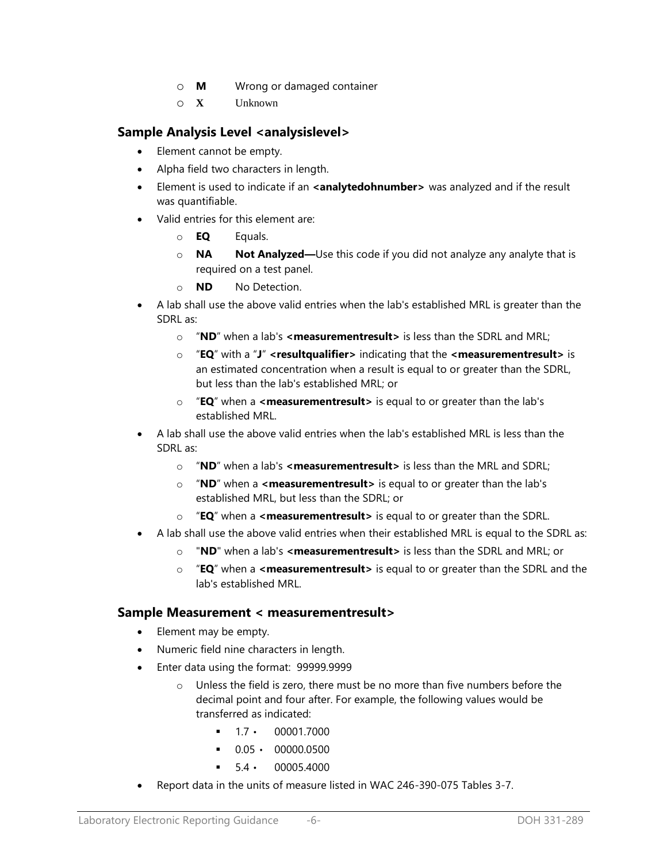- o **M** Wrong or damaged container
- o **X** Unknown

## **Sample Analysis Level <analysislevel>**

- Element cannot be empty.
- Alpha field two characters in length.
- **Element is used to indicate if an <b><analytedohnumber>** was analyzed and if the result was quantifiable.
- Valid entries for this element are:
	- o **EQ** Equals.
	- o **NA Not Analyzed—**Use this code if you did not analyze any analyte that is required on a test panel.
	- o **ND** No Detection.
- A lab shall use the above valid entries when the lab's established MRL is greater than the SDRL as:
	- o "**ND**" when a lab's **<measurementresult>** is less than the SDRL and MRL;
	- o "**EQ**" with a "**J**" **<resultqualifier>** indicating that the **<measurementresult>** is an estimated concentration when a result is equal to or greater than the SDRL, but less than the lab's established MRL; or
	- o "**EQ**" when a **<measurementresult>** is equal to or greater than the lab's established MRL.
- A lab shall use the above valid entries when the lab's established MRL is less than the SDRL as:
	- o "**ND**" when a lab's **<measurementresult>** is less than the MRL and SDRL;
	- o "**ND**" when a **<measurementresult>** is equal to or greater than the lab's established MRL, but less than the SDRL; or
	- o "**EQ**" when a **<measurementresult>** is equal to or greater than the SDRL.
- A lab shall use the above valid entries when their established MRL is equal to the SDRL as:
	- o "**ND**" when a lab's **<measurementresult>** is less than the SDRL and MRL; or
	- o "**EQ**" when a **<measurementresult>** is equal to or greater than the SDRL and the lab's established MRL.

### **Sample Measurement < measurementresult>**

- Element may be empty.
- Numeric field nine characters in length.
- Enter data using the format: 99999.9999
	- o Unless the field is zero, there must be no more than five numbers before the decimal point and four after. For example, the following values would be transferred as indicated:
		- $17 \cdot 000017000$
		- $0.05 \cdot 00000.0500$
		- $-5.4 \cdot 00005.4000$
- Report data in the units of measure listed in WAC 246-390-075 Tables 3-7.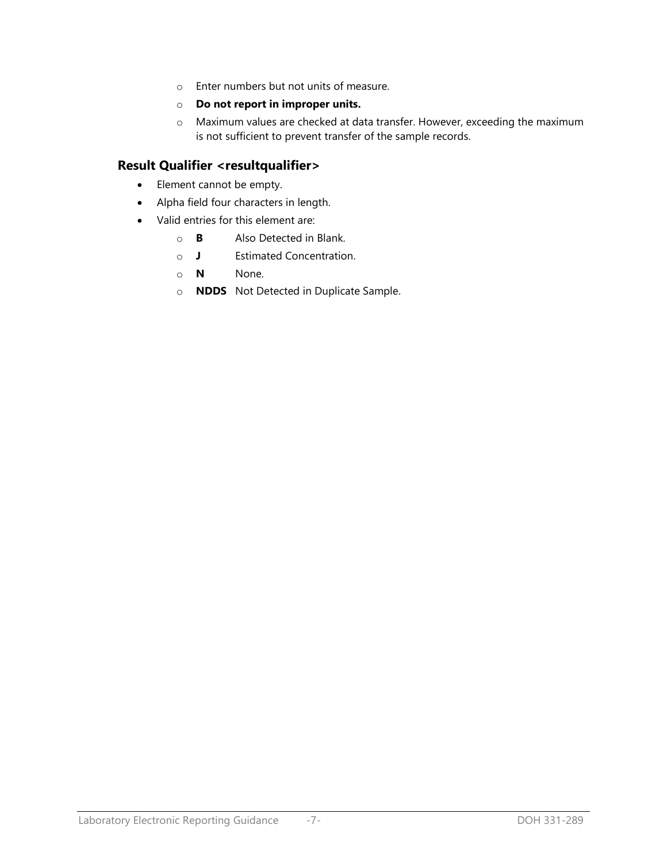- o Enter numbers but not units of measure.
- o **Do not report in improper units.**
- o Maximum values are checked at data transfer. However, exceeding the maximum is not sufficient to prevent transfer of the sample records.

## **Result Qualifier <resultqualifier>**

- Element cannot be empty.
- Alpha field four characters in length.
- Valid entries for this element are:
	- o **B** Also Detected in Blank.
	- o **J** Estimated Concentration.
	- o **N** None.
	- o **NDDS** Not Detected in Duplicate Sample.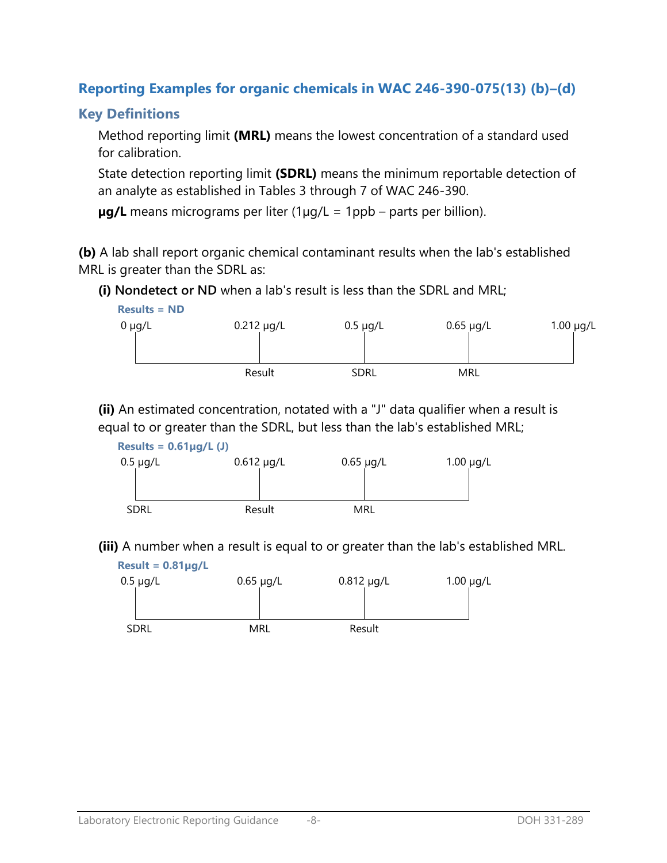# **Reporting Examples for organic chemicals in WAC 246-390-075(13) (b)–(d)**

## **Key Definitions**

Method reporting limit **(MRL)** means the lowest concentration of a standard used for calibration.

State detection reporting limit **(SDRL)** means the minimum reportable detection of an analyte as established in Tables 3 through 7 of WAC 246-390.

**µg/L** means micrograms per liter (1µg/L = 1ppb – parts per billion).

**(b)** A lab shall report organic chemical contaminant results when the lab's established MRL is greater than the SDRL as:

**(i) Nondetect or ND** when a lab's result is less than the SDRL and MRL;



**(ii)** An estimated concentration, notated with a "J" data qualifier when a result is equal to or greater than the SDRL, but less than the lab's established MRL;



**(iii)** A number when a result is equal to or greater than the lab's established MRL.

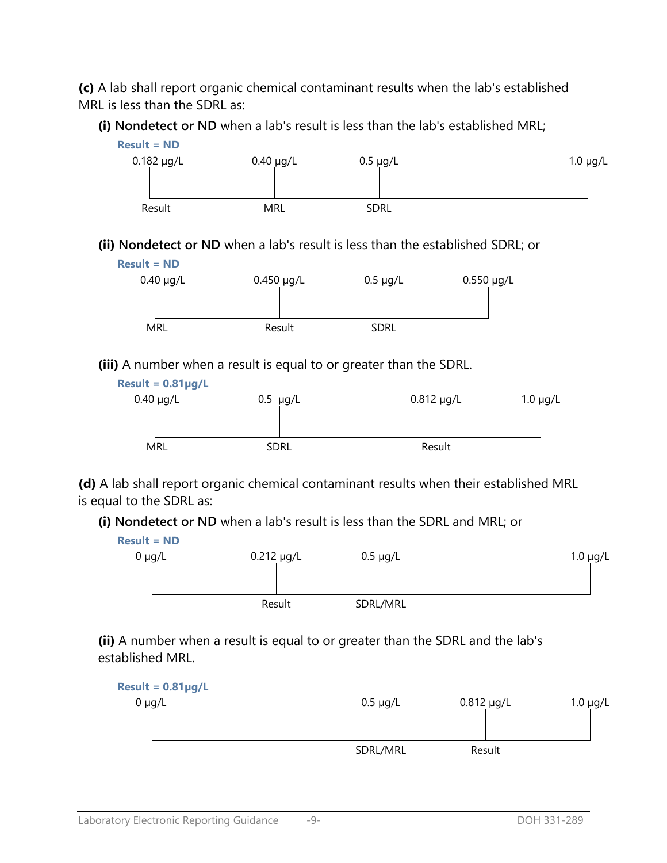**(c)** A lab shall report organic chemical contaminant results when the lab's established MRL is less than the SDRL as:

**(i) Nondetect or ND** when a lab's result is less than the lab's established MRL;



**(ii) Nondetect or ND** when a lab's result is less than the established SDRL; or



**(iii)** A number when a result is equal to or greater than the SDRL.



**(d)** A lab shall report organic chemical contaminant results when their established MRL is equal to the SDRL as:

**(i) Nondetect or ND** when a lab's result is less than the SDRL and MRL; or



**(ii)** A number when a result is equal to or greater than the SDRL and the lab's established MRL.

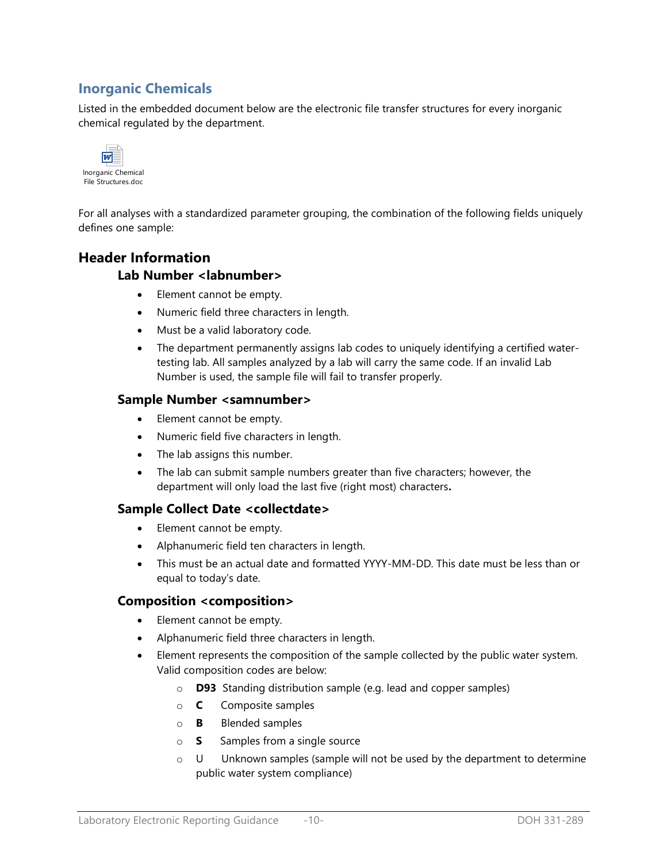## **Inorganic Chemicals**

Listed in the embedded document below are the electronic file transfer structures for every inorganic chemical regulated by the department.



For all analyses with a standardized parameter grouping, the combination of the following fields uniquely defines one sample:

## **Header Information**

### **Lab Number <labnumber>**

- Element cannot be empty.
- Numeric field three characters in length.
- Must be a valid laboratory code.
- The department permanently assigns lab codes to uniquely identifying a certified watertesting lab. All samples analyzed by a lab will carry the same code. If an invalid Lab Number is used, the sample file will fail to transfer properly.

### **Sample Number <samnumber>**

- Element cannot be empty.
- Numeric field five characters in length.
- The lab assigns this number.
- The lab can submit sample numbers greater than five characters; however, the department will only load the last five (right most) characters**.**

## **Sample Collect Date <collectdate>**

- Element cannot be empty.
- Alphanumeric field ten characters in length.
- This must be an actual date and formatted YYYY-MM-DD. This date must be less than or equal to today's date.

### **Composition <composition>**

- Element cannot be empty.
- Alphanumeric field three characters in length.
- Element represents the composition of the sample collected by the public water system. Valid composition codes are below:
	- o **D93** Standing distribution sample (e.g. lead and copper samples)
	- o **C** Composite samples
	- o **B** Blended samples
	- o **S** Samples from a single source
	- $\circ$  U Unknown samples (sample will not be used by the department to determine public water system compliance)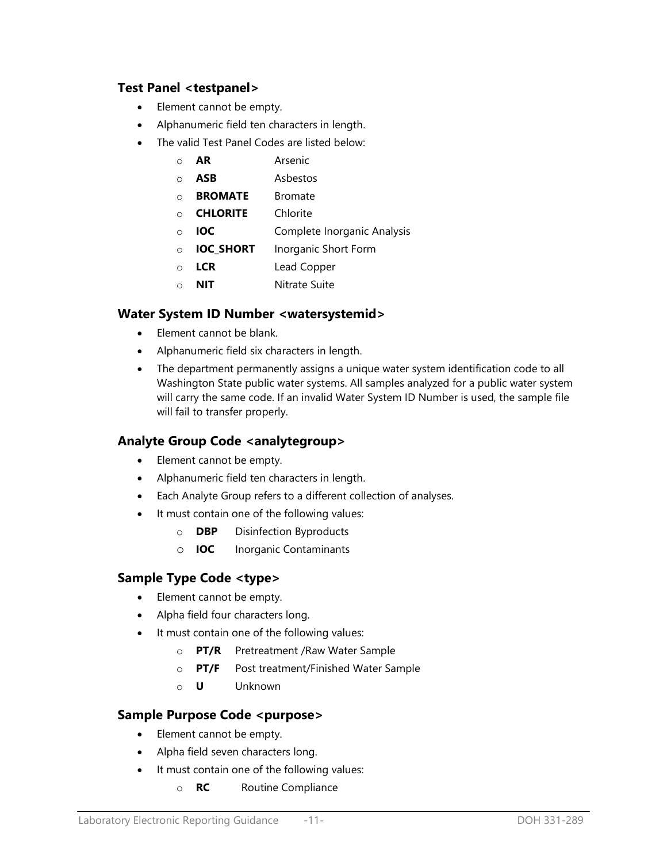## **Test Panel <testpanel>**

- Element cannot be empty.
- Alphanumeric field ten characters in length.
- The valid Test Panel Codes are listed below:
	- o **AR** Arsenic
	- o **ASB** Asbestos
	- o **BROMATE** Bromate
	- o **CHLORITE** Chlorite
	- o **IOC** Complete Inorganic Analysis
	- o **IOC\_SHORT** Inorganic Short Form
	- o **LCR** Lead Copper
	- o **NIT** Nitrate Suite

## **Water System ID Number <watersystemid>**

- Element cannot be blank.
- Alphanumeric field six characters in length.
- The department permanently assigns a unique water system identification code to all Washington State public water systems. All samples analyzed for a public water system will carry the same code. If an invalid Water System ID Number is used, the sample file will fail to transfer properly.

## **Analyte Group Code <analytegroup>**

- Element cannot be empty.
- Alphanumeric field ten characters in length.
- Each Analyte Group refers to a different collection of analyses.
- It must contain one of the following values:
	- o **DBP** Disinfection Byproducts
	- o **IOC** Inorganic Contaminants

## **Sample Type Code <type>**

- Element cannot be empty.
- Alpha field four characters long.
- It must contain one of the following values:
	- o **PT/R** Pretreatment /Raw Water Sample
	- o **PT/F** Post treatment/Finished Water Sample
	- o **U** Unknown

## **Sample Purpose Code <purpose>**

- Element cannot be empty.
- Alpha field seven characters long.
- It must contain one of the following values:
	- o **RC** Routine Compliance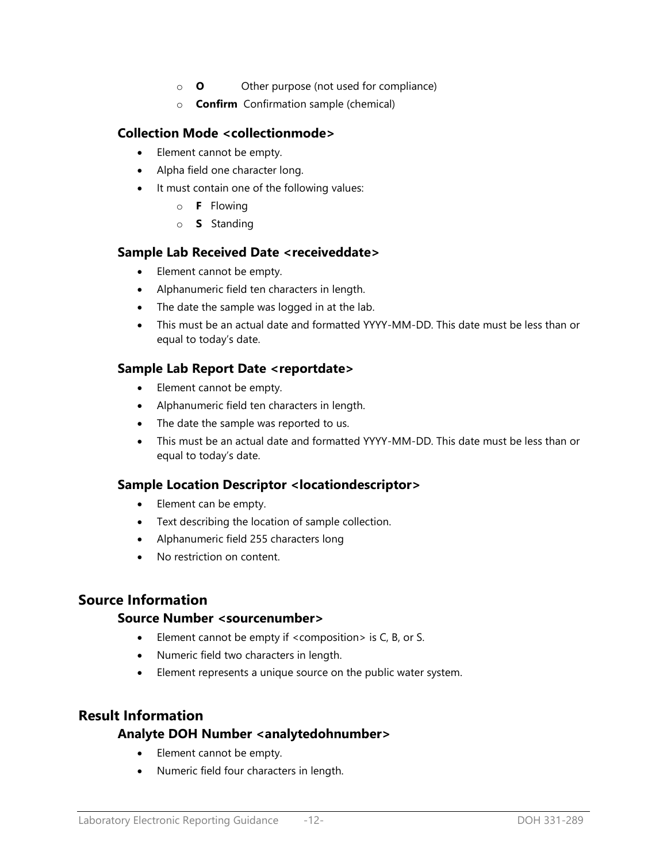- o **O** Other purpose (not used for compliance)
- o **Confirm** Confirmation sample (chemical)

### **Collection Mode <collectionmode>**

- Element cannot be empty.
- Alpha field one character long.
- It must contain one of the following values:
	- o **F** Flowing
	- o **S** Standing

#### **Sample Lab Received Date <receiveddate>**

- Element cannot be empty.
- Alphanumeric field ten characters in length.
- The date the sample was logged in at the lab.
- This must be an actual date and formatted YYYY-MM-DD. This date must be less than or equal to today's date.

## **Sample Lab Report Date <reportdate>**

- Element cannot be empty.
- Alphanumeric field ten characters in length.
- The date the sample was reported to us.
- This must be an actual date and formatted YYYY-MM-DD. This date must be less than or equal to today's date.

## **Sample Location Descriptor <locationdescriptor>**

- Element can be empty.
- Text describing the location of sample collection.
- Alphanumeric field 255 characters long
- No restriction on content.

## **Source Information**

### **Source Number <sourcenumber>**

- Element cannot be empty if <composition> is C, B, or S.
- Numeric field two characters in length.
- Element represents a unique source on the public water system.

## **Result Information**

### **Analyte DOH Number <analytedohnumber>**

- Element cannot be empty.
- Numeric field four characters in length.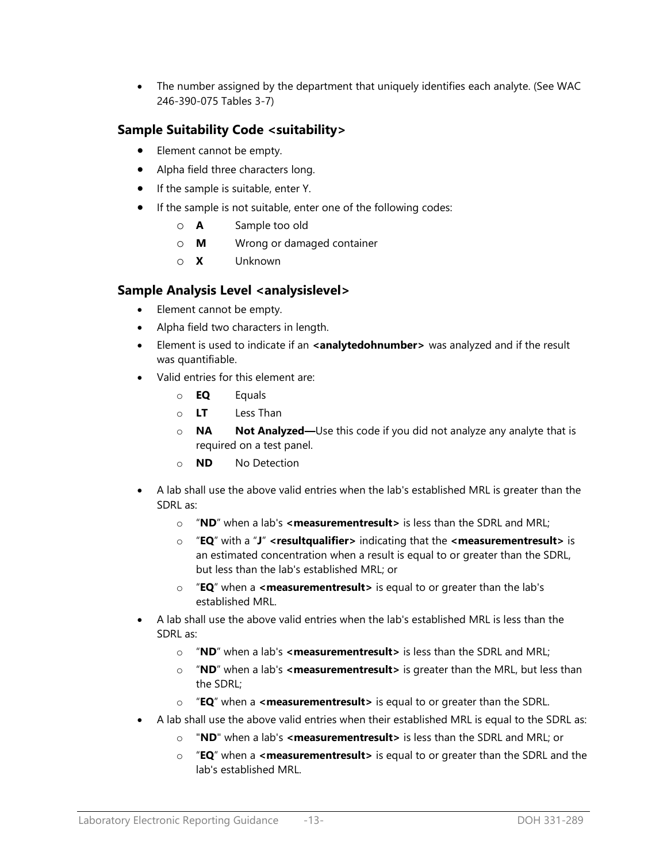The number assigned by the department that uniquely identifies each analyte. (See WAC 246-390-075 Tables 3-7)

## **Sample Suitability Code <suitability>**

- Element cannot be empty.
- Alpha field three characters long.
- If the sample is suitable, enter Y.
- If the sample is not suitable, enter one of the following codes:
	- o **A** Sample too old
	- o **M** Wrong or damaged container
	- o **X** Unknown

## **Sample Analysis Level <analysislevel>**

- Element cannot be empty.
- Alpha field two characters in length.
- **Element is used to indicate if an <analytedohnumber>** was analyzed and if the result was quantifiable.
- Valid entries for this element are:
	- o **EQ** Equals
	- o **LT** Less Than
	- o **NA Not Analyzed—**Use this code if you did not analyze any analyte that is required on a test panel.
	- o **ND** No Detection
- A lab shall use the above valid entries when the lab's established MRL is greater than the SDRL as:
	- o "**ND**" when a lab's **<measurementresult>** is less than the SDRL and MRL;
	- o "**EQ**" with a "**J**" **<resultqualifier>** indicating that the **<measurementresult>** is an estimated concentration when a result is equal to or greater than the SDRL, but less than the lab's established MRL; or
	- o "**EQ**" when a **<measurementresult>** is equal to or greater than the lab's established MRL.
- A lab shall use the above valid entries when the lab's established MRL is less than the SDRL as:
	- o "**ND**" when a lab's **<measurementresult>** is less than the SDRL and MRL;
	- o "**ND**" when a lab's **<measurementresult>** is greater than the MRL, but less than the SDRL;
	- o "**EQ**" when a **<measurementresult>** is equal to or greater than the SDRL.
- A lab shall use the above valid entries when their established MRL is equal to the SDRL as:
	- o "**ND**" when a lab's **<measurementresult>** is less than the SDRL and MRL; or
	- o "**EQ**" when a **<measurementresult>** is equal to or greater than the SDRL and the lab's established MRL.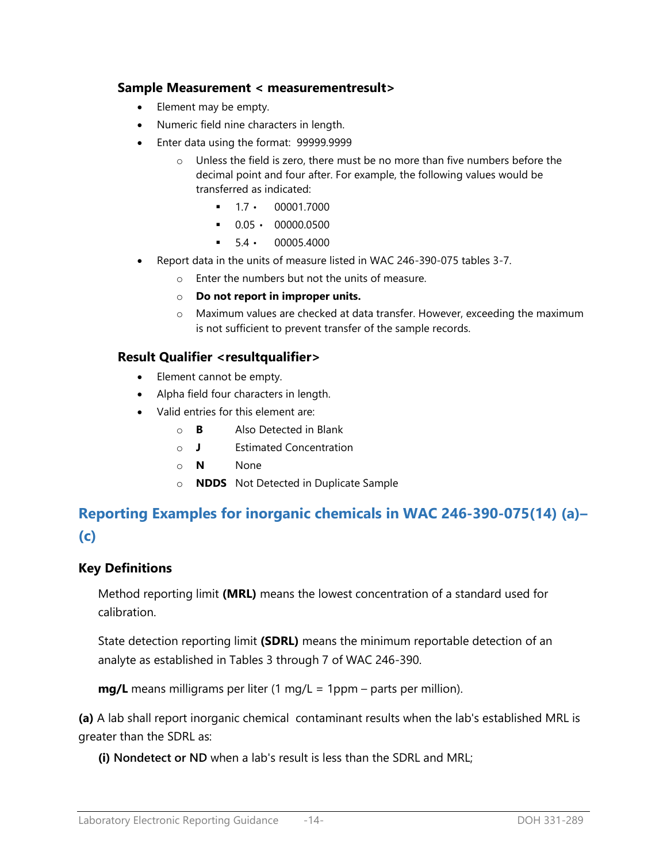### **Sample Measurement < measurementresult>**

- Element may be empty.
- Numeric field nine characters in length.
- Enter data using the format: 99999.9999
	- o Unless the field is zero, there must be no more than five numbers before the decimal point and four after. For example, the following values would be transferred as indicated:
		- $-1.7 \cdot 00001.7000$
		- $0.05 \cdot 00000.0500$
		- 5.4 00005.4000
- Report data in the units of measure listed in WAC 246-390-075 tables 3-7.
	- o Enter the numbers but not the units of measure.
	- o **Do not report in improper units.**
	- o Maximum values are checked at data transfer. However, exceeding the maximum is not sufficient to prevent transfer of the sample records.

### **Result Qualifier <resultqualifier>**

- Element cannot be empty.
- Alpha field four characters in length.
- Valid entries for this element are:
	- o **B** Also Detected in Blank
	- o **J** Estimated Concentration
	- o **N** None
	- o **NDDS** Not Detected in Duplicate Sample

# **Reporting Examples for inorganic chemicals in WAC 246-390-075(14) (a)– (c)**

## **Key Definitions**

Method reporting limit **(MRL)** means the lowest concentration of a standard used for calibration.

State detection reporting limit **(SDRL)** means the minimum reportable detection of an analyte as established in Tables 3 through 7 of WAC 246-390.

**mg/L** means milligrams per liter (1 mg/L = 1ppm – parts per million).

**(a)** A lab shall report inorganic chemical contaminant results when the lab's established MRL is greater than the SDRL as:

**(i) Nondetect or ND** when a lab's result is less than the SDRL and MRL;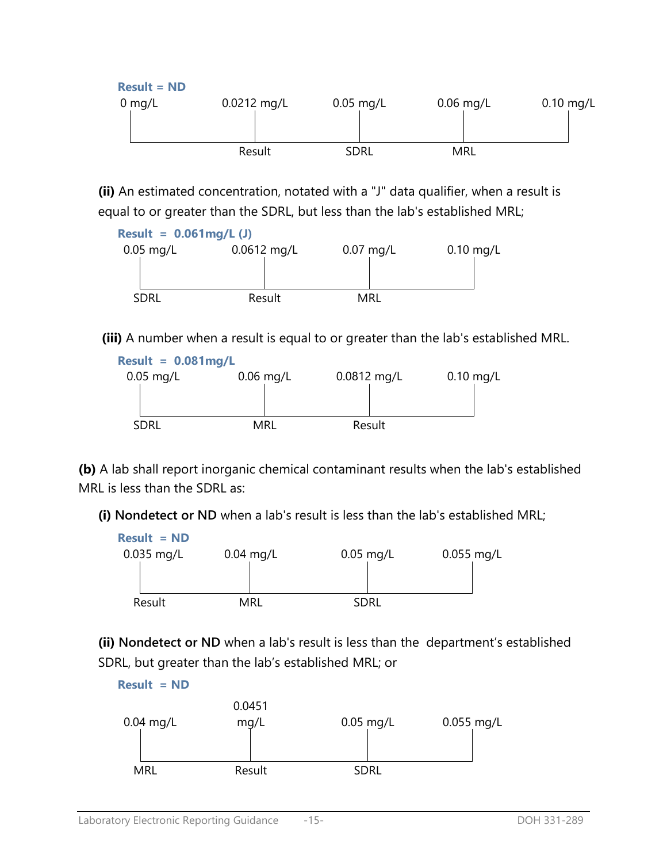

**(ii)** An estimated concentration, notated with a "J" data qualifier, when a result is equal to or greater than the SDRL, but less than the lab's established MRL;



**(iii)** A number when a result is equal to or greater than the lab's established MRL.



**(b)** A lab shall report inorganic chemical contaminant results when the lab's established MRL is less than the SDRL as:

**(i) Nondetect or ND** when a lab's result is less than the lab's established MRL;



**(ii) Nondetect or ND** when a lab's result is less than the department's established SDRL, but greater than the lab's established MRL; or

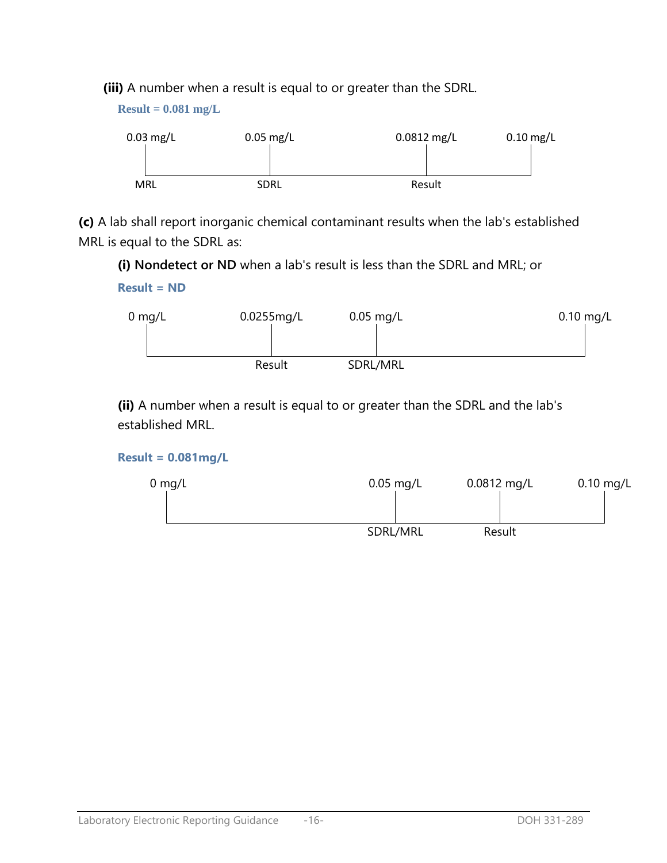**(iii)** A number when a result is equal to or greater than the SDRL.

**Result = 0.081 mg/L**



**(c)** A lab shall report inorganic chemical contaminant results when the lab's established MRL is equal to the SDRL as:

**(i) Nondetect or ND** when a lab's result is less than the SDRL and MRL; or

## **Result = ND**



**(ii)** A number when a result is equal to or greater than the SDRL and the lab's established MRL.

## **Result = 0.081mg/L**

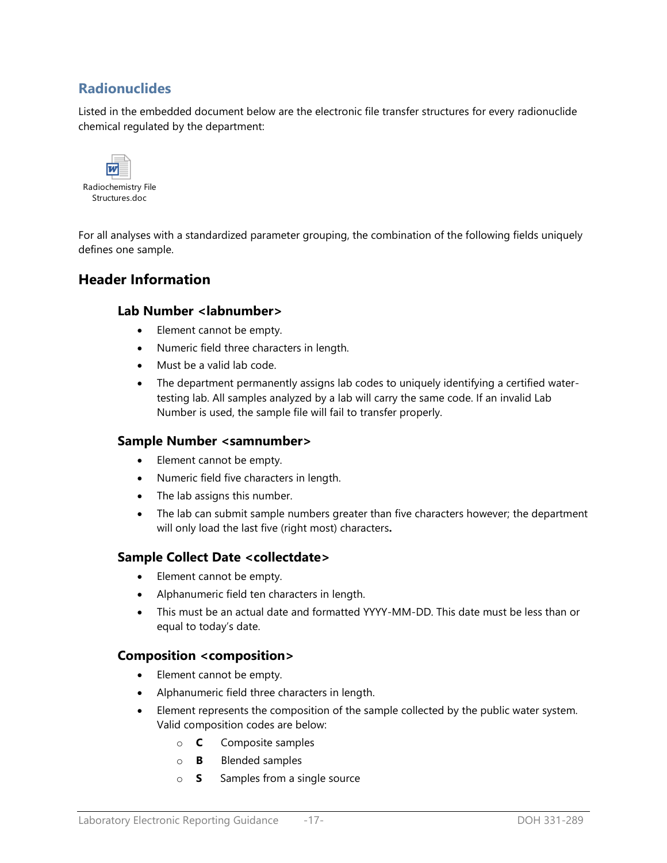## **Radionuclides**

Listed in the embedded document below are the electronic file transfer structures for every radionuclide chemical regulated by the department:



For all analyses with a standardized parameter grouping, the combination of the following fields uniquely defines one sample.

## **Header Information**

### **Lab Number <labnumber>**

- Element cannot be empty.
- Numeric field three characters in length.
- Must be a valid lab code.
- The department permanently assigns lab codes to uniquely identifying a certified watertesting lab. All samples analyzed by a lab will carry the same code. If an invalid Lab Number is used, the sample file will fail to transfer properly.

### **Sample Number <samnumber>**

- Element cannot be empty.
- Numeric field five characters in length.
- The lab assigns this number.
- The lab can submit sample numbers greater than five characters however; the department will only load the last five (right most) characters**.**

### **Sample Collect Date <collectdate>**

- Element cannot be empty.
- Alphanumeric field ten characters in length.
- This must be an actual date and formatted YYYY-MM-DD. This date must be less than or equal to today's date.

### **Composition <composition>**

- Element cannot be empty.
- Alphanumeric field three characters in length.
- Element represents the composition of the sample collected by the public water system. Valid composition codes are below:
	- o **C** Composite samples
	- o **B** Blended samples
	- o **S** Samples from a single source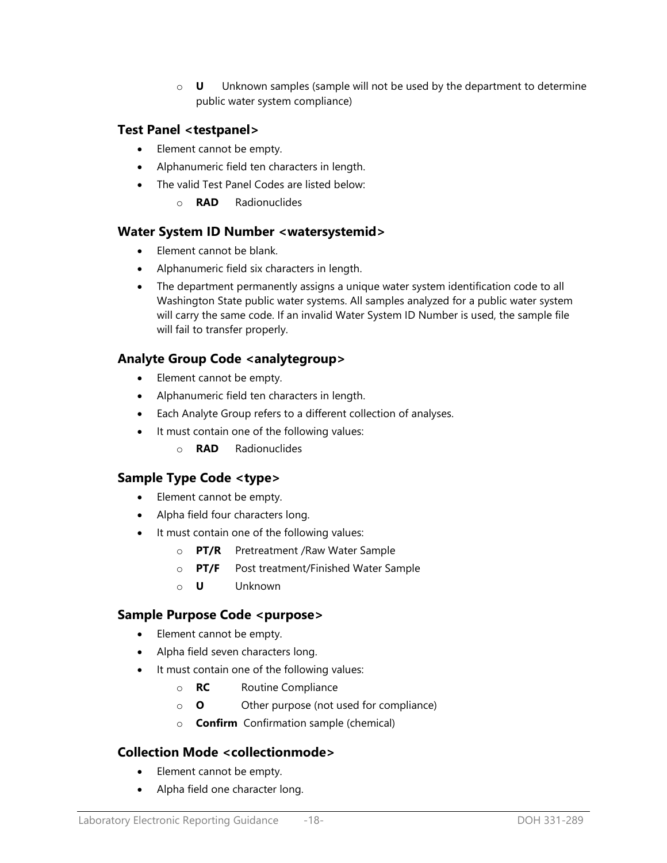o **U** Unknown samples (sample will not be used by the department to determine public water system compliance)

## **Test Panel <testpanel>**

- Element cannot be empty.
- Alphanumeric field ten characters in length.
- The valid Test Panel Codes are listed below:
	- o **RAD** Radionuclides

### **Water System ID Number <watersystemid>**

- Element cannot be blank.
- Alphanumeric field six characters in length.
- The department permanently assigns a unique water system identification code to all Washington State public water systems. All samples analyzed for a public water system will carry the same code. If an invalid Water System ID Number is used, the sample file will fail to transfer properly.

## **Analyte Group Code <analytegroup>**

- Element cannot be empty.
- Alphanumeric field ten characters in length.
- Each Analyte Group refers to a different collection of analyses.
- It must contain one of the following values:
	- o **RAD** Radionuclides

## **Sample Type Code <type>**

- Element cannot be empty.
- Alpha field four characters long.
- It must contain one of the following values:
	- o **PT/R** Pretreatment /Raw Water Sample
	- o **PT/F** Post treatment/Finished Water Sample
	- o **U** Unknown

## **Sample Purpose Code <purpose>**

- Element cannot be empty.
- Alpha field seven characters long.
- It must contain one of the following values:
	- o **RC** Routine Compliance
	- o **O** Other purpose (not used for compliance)
	- o **Confirm** Confirmation sample (chemical)

## **Collection Mode <collectionmode>**

- Element cannot be empty.
- Alpha field one character long.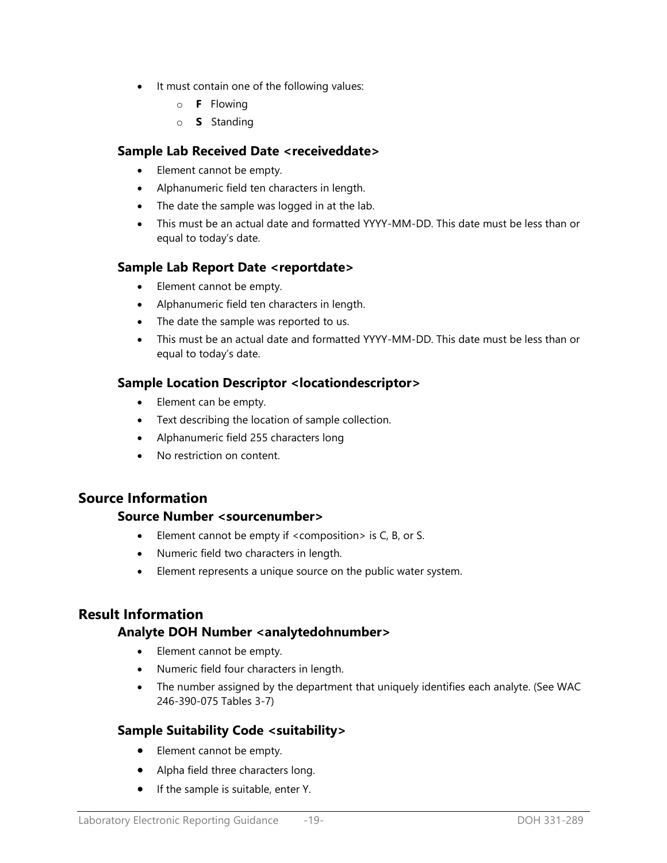- It must contain one of the following values:
	- o **F** Flowing
	- o **S** Standing

### **Sample Lab Received Date <receiveddate>**

- Element cannot be empty.
- Alphanumeric field ten characters in length.
- The date the sample was logged in at the lab.
- This must be an actual date and formatted YYYY-MM-DD. This date must be less than or equal to today's date.

## **Sample Lab Report Date <reportdate>**

- Element cannot be empty.
- Alphanumeric field ten characters in length.
- The date the sample was reported to us.
- This must be an actual date and formatted YYYY-MM-DD. This date must be less than or equal to today's date.

### **Sample Location Descriptor <locationdescriptor>**

- Element can be empty.
- Text describing the location of sample collection.
- Alphanumeric field 255 characters long
- No restriction on content.

## **Source Information**

### **Source Number <sourcenumber>**

- Element cannot be empty if  $\leq$  composition  $>$  is C, B, or S.
- Numeric field two characters in length.
- Element represents a unique source on the public water system.

## **Result Information**

### **Analyte DOH Number <analytedohnumber>**

- Element cannot be empty.
- Numeric field four characters in length.
- The number assigned by the department that uniquely identifies each analyte. (See WAC 246-390-075 Tables 3-7)

## **Sample Suitability Code <suitability>**

- Element cannot be empty.
- Alpha field three characters long.
- If the sample is suitable, enter Y.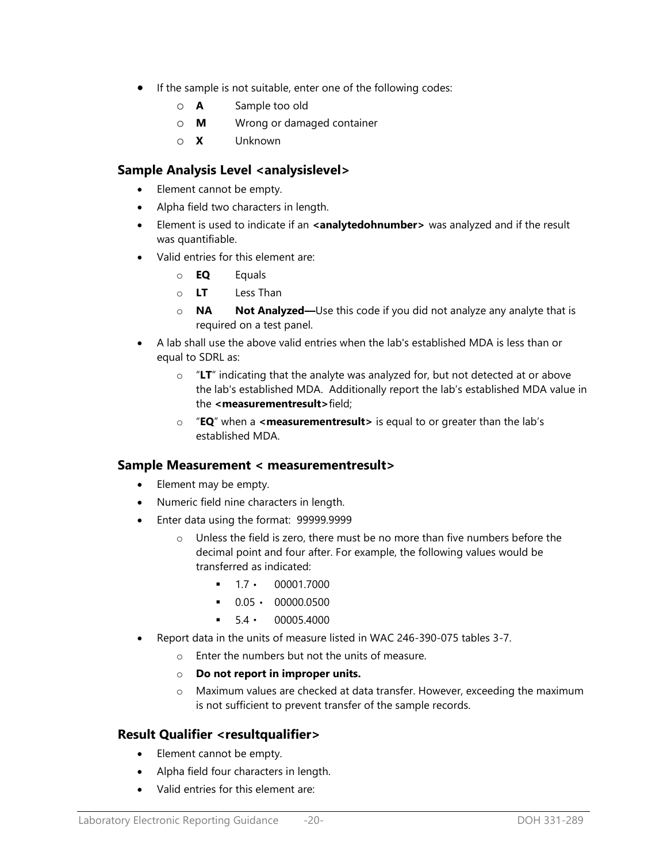- If the sample is not suitable, enter one of the following codes:
	- o **A** Sample too old
	- o **M** Wrong or damaged container
	- o **X** Unknown

### **Sample Analysis Level <analysislevel>**

- Element cannot be empty.
- Alpha field two characters in length.
- **Element is used to indicate if an <b><analytedohnumber>** was analyzed and if the result was quantifiable.
- Valid entries for this element are:
	- o **EQ** Equals
	- o **LT** Less Than
	- o **NA Not Analyzed—**Use this code if you did not analyze any analyte that is required on a test panel.
- A lab shall use the above valid entries when the lab's established MDA is less than or equal to SDRL as:
	- o "**LT**" indicating that the analyte was analyzed for, but not detected at or above the lab's established MDA. Additionally report the lab's established MDA value in the **<measurementresult>**field;
	- o "**EQ**" when a **<measurementresult>** is equal to or greater than the lab's established MDA.

### **Sample Measurement < measurementresult>**

- Element may be empty.
- Numeric field nine characters in length.
- Enter data using the format: 99999.9999
	- Unless the field is zero, there must be no more than five numbers before the decimal point and four after. For example, the following values would be transferred as indicated:
		- $-1.7 \cdot 00001.7000$
		- $0.05 \cdot 00000.0500$
		- $-54 \cdot 000054000$
- Report data in the units of measure listed in WAC 246-390-075 tables 3-7.
	- o Enter the numbers but not the units of measure.
	- o **Do not report in improper units.**
	- o Maximum values are checked at data transfer. However, exceeding the maximum is not sufficient to prevent transfer of the sample records.

## **Result Qualifier <resultqualifier>**

- Element cannot be empty.
- Alpha field four characters in length.
- Valid entries for this element are: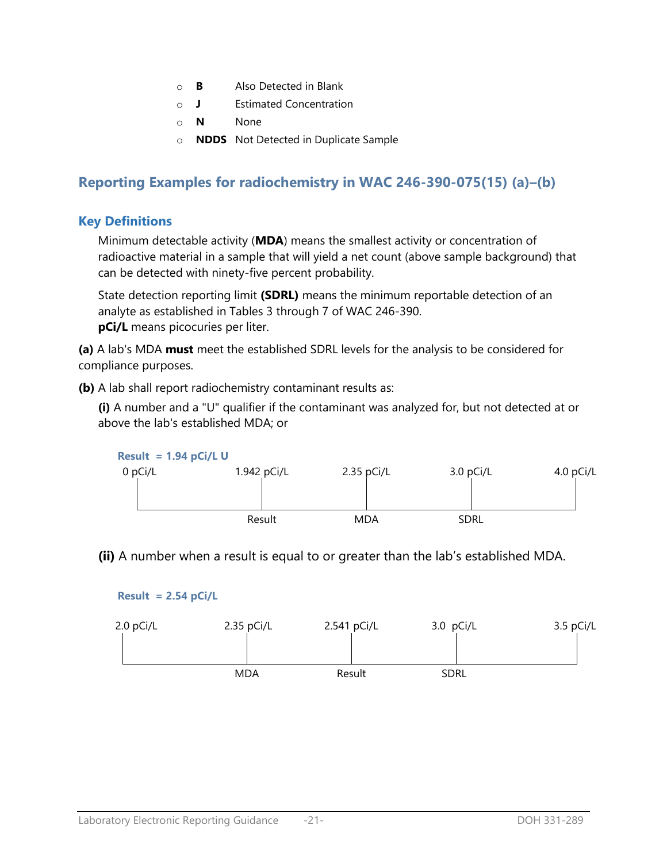- o **B** Also Detected in Blank
- o **J** Estimated Concentration
- o **N** None
- o **NDDS** Not Detected in Duplicate Sample

# **Reporting Examples for radiochemistry in WAC 246-390-075(15) (a)–(b)**

## **Key Definitions**

Minimum detectable activity (**MDA**) means the smallest activity or concentration of radioactive material in a sample that will yield a net count (above sample background) that can be detected with ninety-five percent probability.

State detection reporting limit **(SDRL)** means the minimum reportable detection of an analyte as established in Tables 3 through 7 of WAC 246-390. **pCi/L** means picocuries per liter.

**(a)** A lab's MDA **must** meet the established SDRL levels for the analysis to be considered for compliance purposes.

**(b)** A lab shall report radiochemistry contaminant results as:

**(i)** A number and a "U" qualifier if the contaminant was analyzed for, but not detected at or above the lab's established MDA; or



**(ii)** A number when a result is equal to or greater than the lab's established MDA.



**Result = 2.54 pCi/L**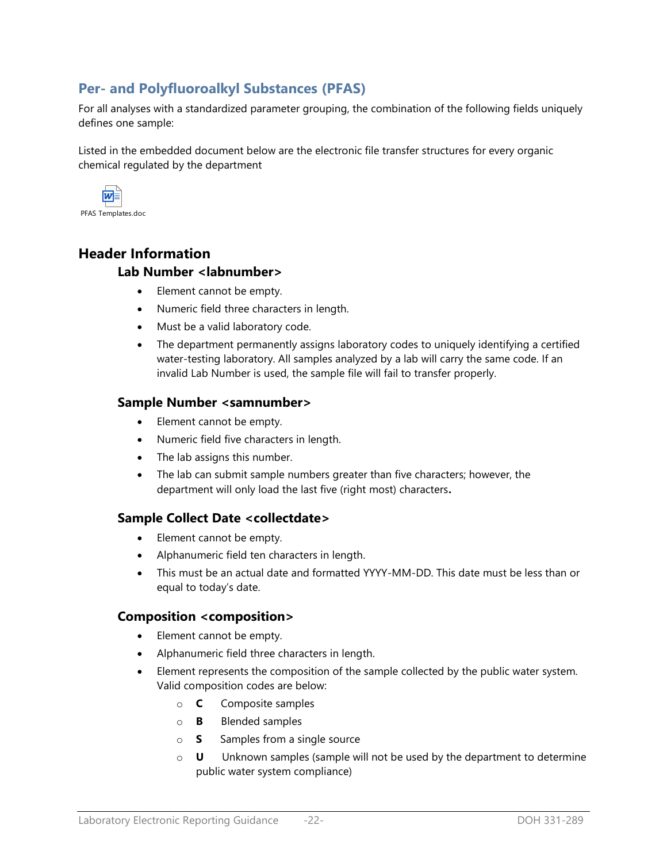## **Per- and Polyfluoroalkyl Substances (PFAS)**

For all analyses with a standardized parameter grouping, the combination of the following fields uniquely defines one sample:

Listed in the embedded document below are the electronic file transfer structures for every organic chemical regulated by the department



PFAS Templates.doc

# **Header Information Lab Number <labnumber>**

- Element cannot be empty.
- Numeric field three characters in length.
- Must be a valid laboratory code.
- The department permanently assigns laboratory codes to uniquely identifying a certified water-testing laboratory. All samples analyzed by a lab will carry the same code. If an invalid Lab Number is used, the sample file will fail to transfer properly.

### **Sample Number <samnumber>**

- Element cannot be empty.
- Numeric field five characters in length.
- The lab assigns this number.
- The lab can submit sample numbers greater than five characters; however, the department will only load the last five (right most) characters**.**

## **Sample Collect Date <collectdate>**

- Element cannot be empty.
- Alphanumeric field ten characters in length.
- This must be an actual date and formatted YYYY-MM-DD. This date must be less than or equal to today's date.

### **Composition <composition>**

- Element cannot be empty.
- Alphanumeric field three characters in length.
- Element represents the composition of the sample collected by the public water system. Valid composition codes are below:
	- o **C** Composite samples
	- o **B** Blended samples
	- o **S** Samples from a single source
	- o **U** Unknown samples (sample will not be used by the department to determine public water system compliance)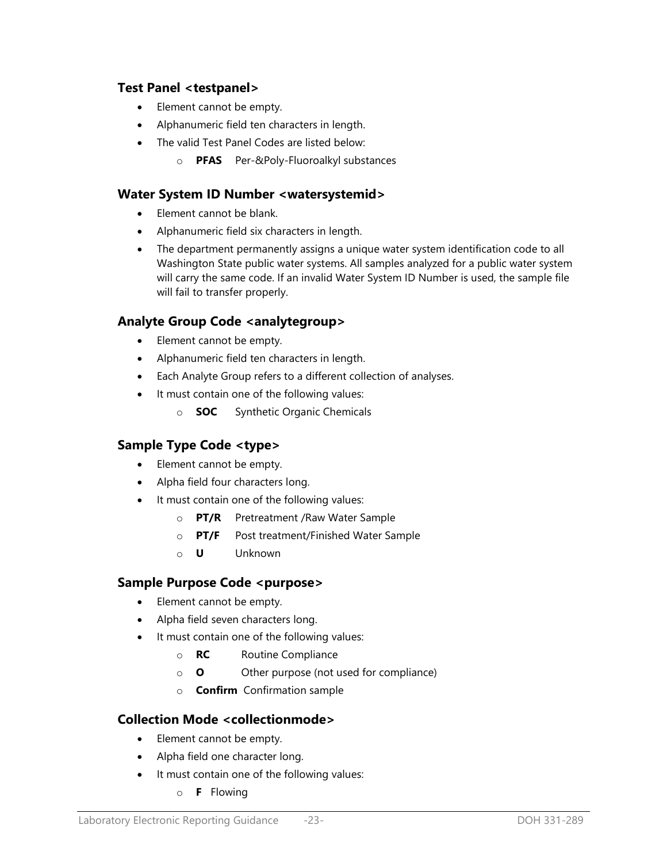## **Test Panel <testpanel>**

- Element cannot be empty.
- Alphanumeric field ten characters in length.
- The valid Test Panel Codes are listed below:
	- o **PFAS** Per-&Poly-Fluoroalkyl substances

### **Water System ID Number <watersystemid>**

- Element cannot be blank.
- Alphanumeric field six characters in length.
- The department permanently assigns a unique water system identification code to all Washington State public water systems. All samples analyzed for a public water system will carry the same code. If an invalid Water System ID Number is used, the sample file will fail to transfer properly.

## **Analyte Group Code <analytegroup>**

- Element cannot be empty.
- Alphanumeric field ten characters in length.
- Each Analyte Group refers to a different collection of analyses.
- It must contain one of the following values:
	- o **SOC** Synthetic Organic Chemicals

## **Sample Type Code <type>**

- Element cannot be empty.
- Alpha field four characters long.
- It must contain one of the following values:
	- o **PT/R** Pretreatment /Raw Water Sample
	- o **PT/F** Post treatment/Finished Water Sample
	- o **U** Unknown

### **Sample Purpose Code <purpose>**

- Element cannot be empty.
- Alpha field seven characters long.
- It must contain one of the following values:
	- o **RC** Routine Compliance
	- o **O** Other purpose (not used for compliance)
	- o **Confirm** Confirmation sample

## **Collection Mode <collectionmode>**

- Element cannot be empty.
- Alpha field one character long.
- It must contain one of the following values:
	- o **F** Flowing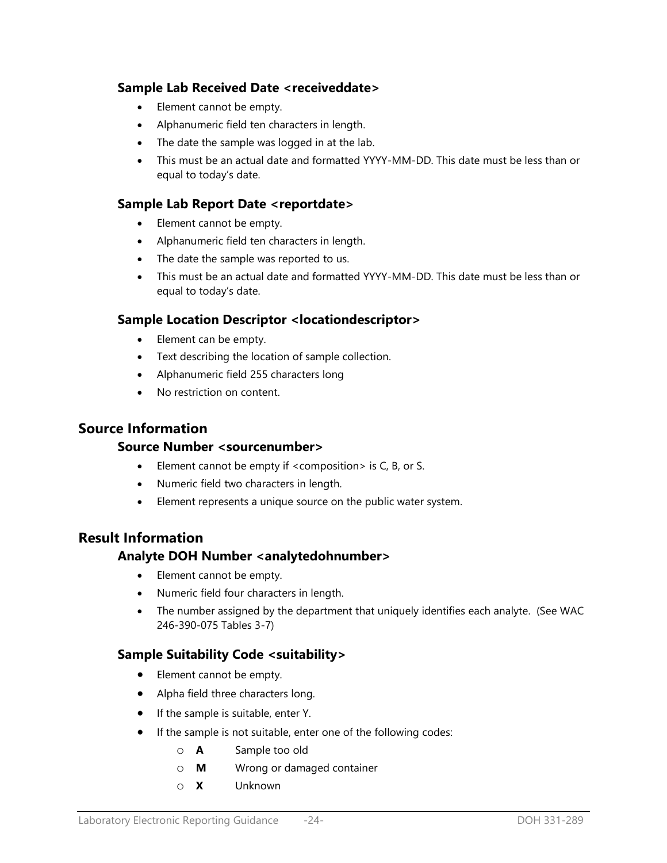## **Sample Lab Received Date <receiveddate>**

- Element cannot be empty.
- Alphanumeric field ten characters in length.
- The date the sample was logged in at the lab.
- This must be an actual date and formatted YYYY-MM-DD. This date must be less than or equal to today's date.

## **Sample Lab Report Date <reportdate>**

- Element cannot be empty.
- Alphanumeric field ten characters in length.
- The date the sample was reported to us.
- This must be an actual date and formatted YYYY-MM-DD. This date must be less than or equal to today's date.

### **Sample Location Descriptor <locationdescriptor>**

- Element can be empty.
- Text describing the location of sample collection.
- Alphanumeric field 255 characters long
- No restriction on content.

## **Source Information**

### **Source Number <sourcenumber>**

- Element cannot be empty if <composition> is C, B, or S.
- Numeric field two characters in length.
- Element represents a unique source on the public water system.

## **Result Information**

### **Analyte DOH Number <analytedohnumber>**

- Element cannot be empty.
- Numeric field four characters in length.
- The number assigned by the department that uniquely identifies each analyte. (See WAC 246-390-075 Tables 3-7)

## **Sample Suitability Code <suitability>**

- Element cannot be empty.
- Alpha field three characters long.
- If the sample is suitable, enter Y.
- If the sample is not suitable, enter one of the following codes:
	- o **A** Sample too old
	- o **M** Wrong or damaged container
	- o **X** Unknown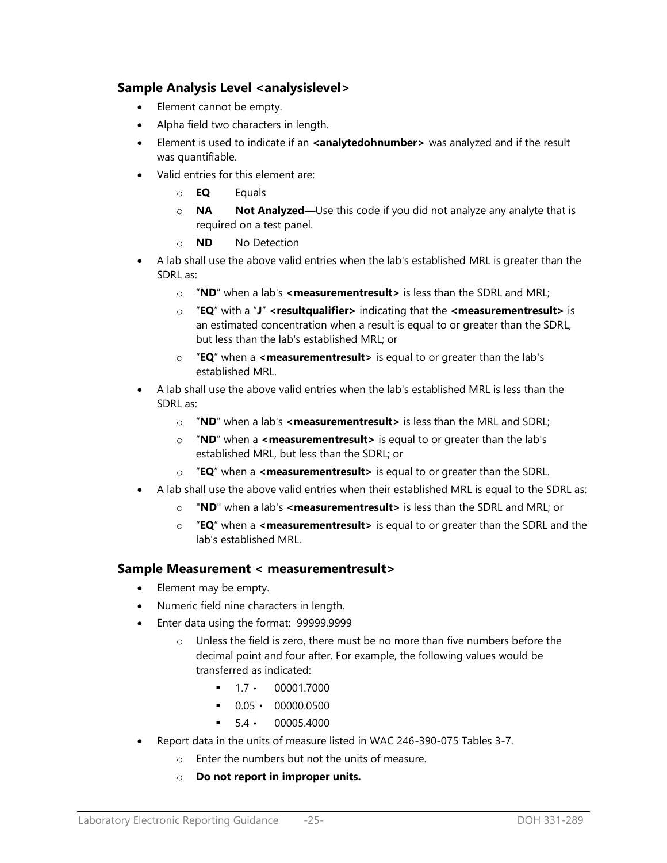## **Sample Analysis Level <analysislevel>**

- Element cannot be empty.
- Alpha field two characters in length.
- **Element is used to indicate if an <analytedohnumber>** was analyzed and if the result was quantifiable.
- Valid entries for this element are:
	- o **EQ** Equals
	- o **NA Not Analyzed—**Use this code if you did not analyze any analyte that is required on a test panel.
	- o **ND** No Detection
- A lab shall use the above valid entries when the lab's established MRL is greater than the SDRL as:
	- o "**ND**" when a lab's **<measurementresult>** is less than the SDRL and MRL;
	- o "**EQ**" with a "**J**" **<resultqualifier>** indicating that the **<measurementresult>** is an estimated concentration when a result is equal to or greater than the SDRL, but less than the lab's established MRL; or
	- o "**EQ**" when a **<measurementresult>** is equal to or greater than the lab's established MRL.
- A lab shall use the above valid entries when the lab's established MRL is less than the SDRL as:
	- o "**ND**" when a lab's **<measurementresult>** is less than the MRL and SDRL;
	- o "**ND**" when a **<measurementresult>** is equal to or greater than the lab's established MRL, but less than the SDRL; or
	- o "**EQ**" when a **<measurementresult>** is equal to or greater than the SDRL.
- A lab shall use the above valid entries when their established MRL is equal to the SDRL as:
	- o "**ND**" when a lab's **<measurementresult>** is less than the SDRL and MRL; or
	- o "**EQ**" when a **<measurementresult>** is equal to or greater than the SDRL and the lab's established MRL.

## **Sample Measurement < measurementresult>**

- Element may be empty.
- Numeric field nine characters in length.
- Enter data using the format: 99999.9999
	- o Unless the field is zero, there must be no more than five numbers before the decimal point and four after. For example, the following values would be transferred as indicated:
		- $-1.7 \cdot 00001.7000$
		- $0.05 \cdot 00000.0500$
		- $\blacksquare$  5.4  $\cdot$  00005.4000
- Report data in the units of measure listed in WAC 246-390-075 Tables 3-7.
	- o Enter the numbers but not the units of measure.
	- o **Do not report in improper units.**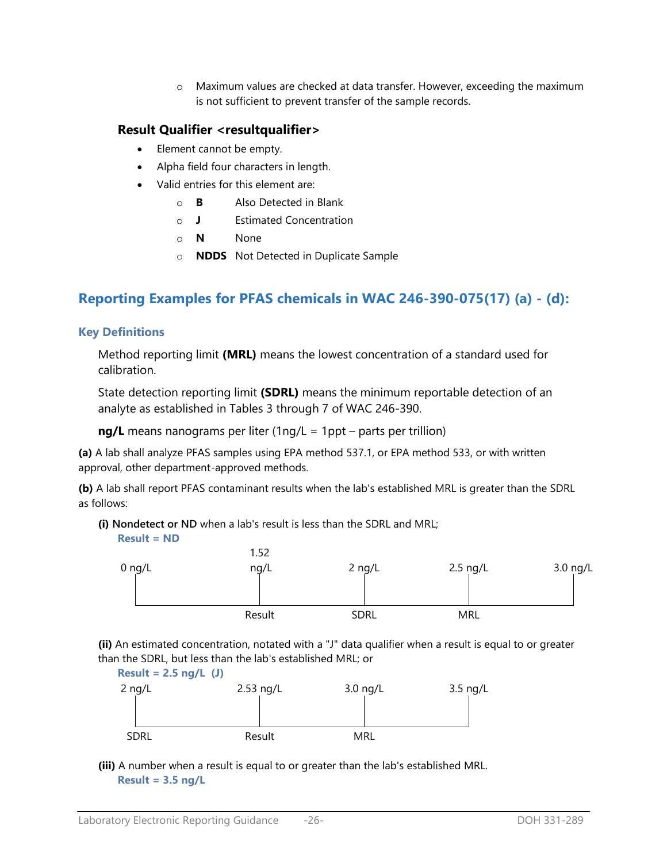o Maximum values are checked at data transfer. However, exceeding the maximum is not sufficient to prevent transfer of the sample records.

## **Result Qualifier <resultqualifier>**

- Element cannot be empty.
- Alpha field four characters in length.
- Valid entries for this element are:
	- o **B** Also Detected in Blank
	- o **J** Estimated Concentration
	- o **N** None
	- o **NDDS** Not Detected in Duplicate Sample

# **Reporting Examples for PFAS chemicals in WAC 246-390-075(17) (a) - (d):**

## **Key Definitions**

Method reporting limit **(MRL)** means the lowest concentration of a standard used for calibration.

State detection reporting limit **(SDRL)** means the minimum reportable detection of an analyte as established in Tables 3 through 7 of WAC 246-390.

**ng/L** means nanograms per liter (1ng/L = 1ppt – parts per trillion)

**(a)** A lab shall analyze PFAS samples using EPA method 537.1, or EPA method 533, or with written approval, other department-approved methods.

**(b)** A lab shall report PFAS contaminant results when the lab's established MRL is greater than the SDRL as follows:

**(i) Nondetect or ND** when a lab's result is less than the SDRL and MRL; **Result = ND**



**(ii)** An estimated concentration, notated with a "J" data qualifier when a result is equal to or greater than the SDRL, but less than the lab's established MRL; or



**(iii)** A number when a result is equal to or greater than the lab's established MRL. **Result = 3.5 ng/L**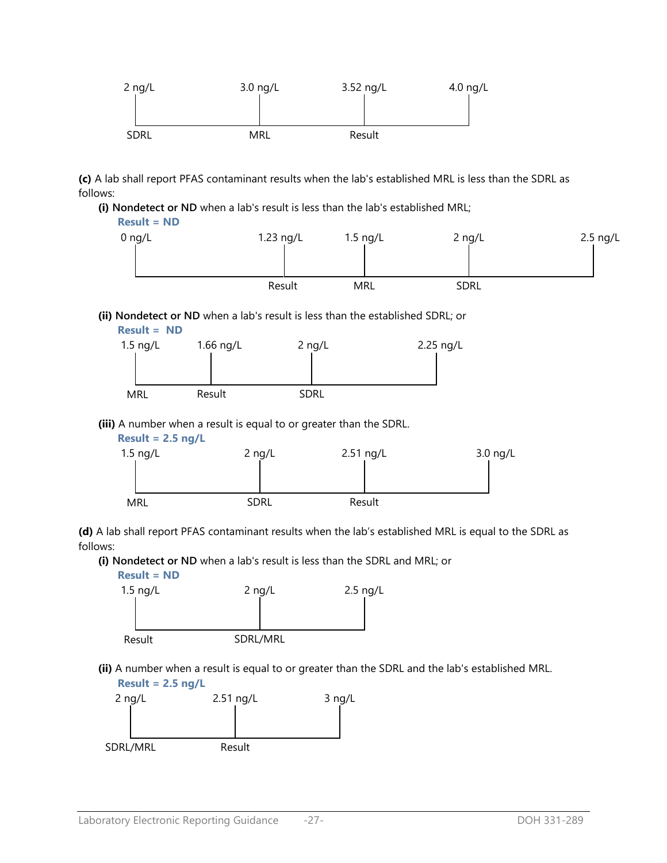

**(c)** A lab shall report PFAS contaminant results when the lab's established MRL is less than the SDRL as follows:

**(i) Nondetect or ND** when a lab's result is less than the lab's established MRL;



#### **(ii) Nondetect or ND** when a lab's result is less than the established SDRL; or



**(iii)** A number when a result is equal to or greater than the SDRL.



**(d)** A lab shall report PFAS contaminant results when the lab's established MRL is equal to the SDRL as follows:

**(i) Nondetect or ND** when a lab's result is less than the SDRL and MRL; or



**(ii)** A number when a result is equal to or greater than the SDRL and the lab's established MRL. **Result = 2.5 ng/L** 

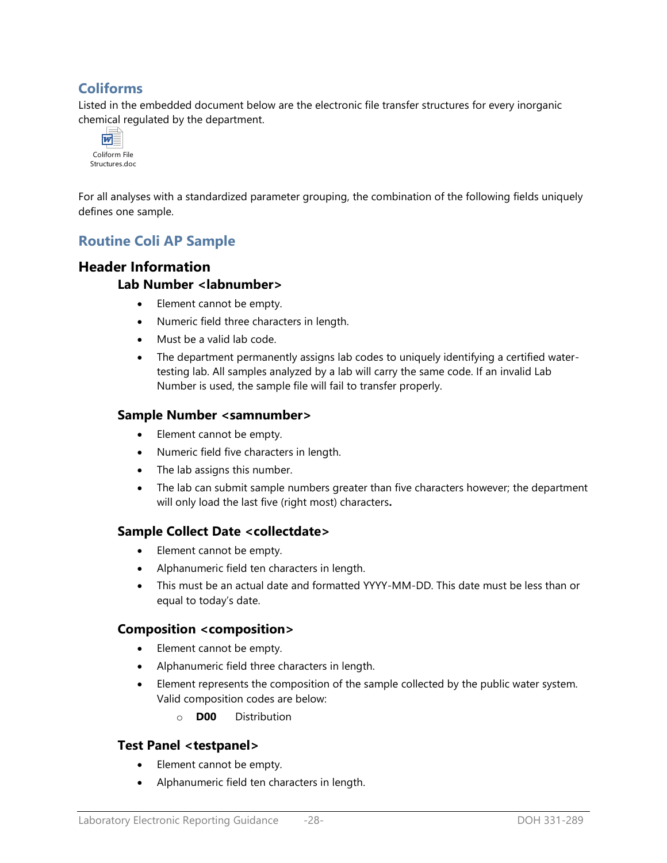## **Coliforms**

Listed in the embedded document below are the electronic file transfer structures for every inorganic chemical regulated by the department.



For all analyses with a standardized parameter grouping, the combination of the following fields uniquely defines one sample.

## **Routine Coli AP Sample**

## **Header Information**

### **Lab Number <labnumber>**

- Element cannot be empty.
- Numeric field three characters in length.
- Must be a valid lab code.
- The department permanently assigns lab codes to uniquely identifying a certified watertesting lab. All samples analyzed by a lab will carry the same code. If an invalid Lab Number is used, the sample file will fail to transfer properly.

### **Sample Number <samnumber>**

- Element cannot be empty.
- Numeric field five characters in length.
- The lab assigns this number.
- The lab can submit sample numbers greater than five characters however; the department will only load the last five (right most) characters**.**

### **Sample Collect Date <collectdate>**

- Element cannot be empty.
- Alphanumeric field ten characters in length.
- This must be an actual date and formatted YYYY-MM-DD. This date must be less than or equal to today's date.

### **Composition <composition>**

- Element cannot be empty.
- Alphanumeric field three characters in length.
- Element represents the composition of the sample collected by the public water system. Valid composition codes are below:
	- o **D00** Distribution

## **Test Panel <testpanel>**

- Element cannot be empty.
- Alphanumeric field ten characters in length.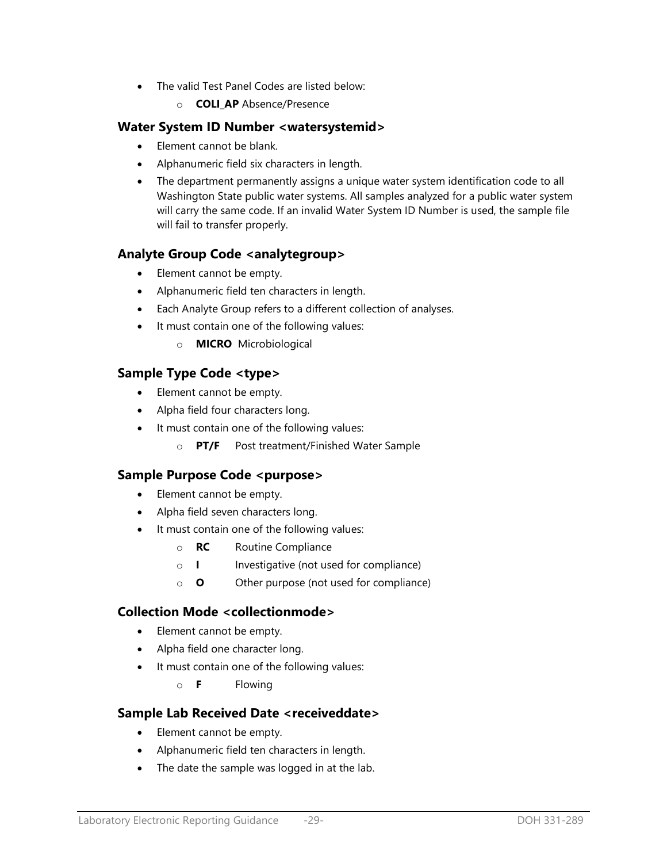- The valid Test Panel Codes are listed below:
	- o **COLI\_AP** Absence/Presence

### **Water System ID Number <watersystemid>**

- Element cannot be blank.
- Alphanumeric field six characters in length.
- The department permanently assigns a unique water system identification code to all Washington State public water systems. All samples analyzed for a public water system will carry the same code. If an invalid Water System ID Number is used, the sample file will fail to transfer properly.

## **Analyte Group Code <analytegroup>**

- Element cannot be empty.
- Alphanumeric field ten characters in length.
- Each Analyte Group refers to a different collection of analyses.
- It must contain one of the following values:
	- o **MICRO** Microbiological

### **Sample Type Code <type>**

- Element cannot be empty.
- Alpha field four characters long.
- It must contain one of the following values:
	- o **PT/F** Post treatment/Finished Water Sample

### Sample Purpose Code <purpose>

- Element cannot be empty.
- Alpha field seven characters long.
- It must contain one of the following values:
	- o **RC** Routine Compliance
	- o **I** Investigative (not used for compliance)
	- o **O** Other purpose (not used for compliance)

### **Collection Mode <collectionmode>**

- Element cannot be empty.
- Alpha field one character long.
- It must contain one of the following values:
	- o **F** Flowing

## **Sample Lab Received Date <receiveddate>**

- Element cannot be empty.
- Alphanumeric field ten characters in length.
- The date the sample was logged in at the lab.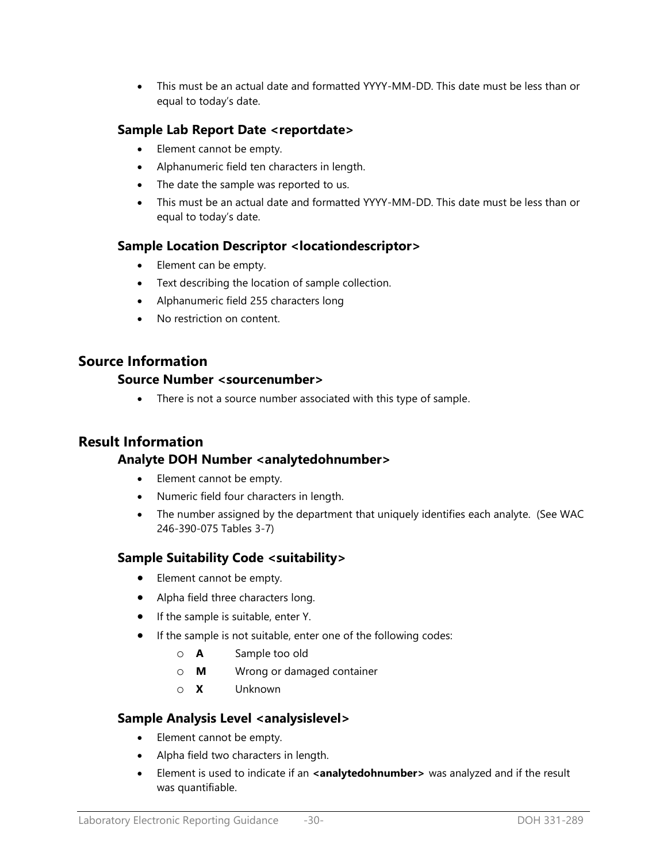This must be an actual date and formatted YYYY-MM-DD. This date must be less than or equal to today's date.

## **Sample Lab Report Date <reportdate>**

- Element cannot be empty.
- Alphanumeric field ten characters in length.
- The date the sample was reported to us.
- This must be an actual date and formatted YYYY-MM-DD. This date must be less than or equal to today's date.

### **Sample Location Descriptor <locationdescriptor>**

- Element can be empty.
- Text describing the location of sample collection.
- Alphanumeric field 255 characters long
- No restriction on content.

## **Source Information**

### **Source Number <sourcenumber>**

• There is not a source number associated with this type of sample.

## **Result Information**

## **Analyte DOH Number <analytedohnumber>**

- Element cannot be empty.
- Numeric field four characters in length.
- The number assigned by the department that uniquely identifies each analyte. (See WAC 246-390-075 Tables 3-7)

### **Sample Suitability Code <suitability>**

- Element cannot be empty.
- Alpha field three characters long.
- If the sample is suitable, enter Y.
- If the sample is not suitable, enter one of the following codes:
	- o **A** Sample too old
	- o **M** Wrong or damaged container
	- o **X** Unknown

### **Sample Analysis Level <analysislevel>**

- Element cannot be empty.
- Alpha field two characters in length.
- Element is used to indicate if an **<analytedohnumber>** was analyzed and if the result was quantifiable.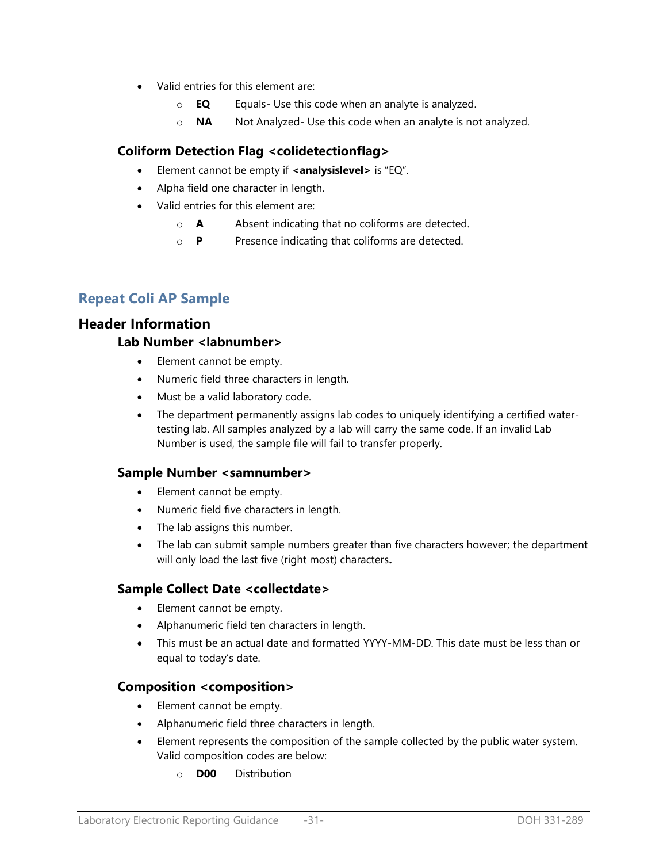- Valid entries for this element are:
	- o **EQ** Equals- Use this code when an analyte is analyzed.
	- o **NA** Not Analyzed- Use this code when an analyte is not analyzed.

## **Coliform Detection Flag <colidetectionflag>**

- Element cannot be empty if **<analysislevel>** is "EQ".
- Alpha field one character in length.
- Valid entries for this element are:
	- o **A** Absent indicating that no coliforms are detected.
	- o **P** Presence indicating that coliforms are detected.

## **Repeat Coli AP Sample**

## **Header Information**

### **Lab Number <labnumber>**

- Element cannot be empty.
- Numeric field three characters in length.
- Must be a valid laboratory code.
- The department permanently assigns lab codes to uniquely identifying a certified watertesting lab. All samples analyzed by a lab will carry the same code. If an invalid Lab Number is used, the sample file will fail to transfer properly.

### **Sample Number <samnumber>**

- Element cannot be empty.
- Numeric field five characters in length.
- The lab assigns this number.
- The lab can submit sample numbers greater than five characters however; the department will only load the last five (right most) characters**.**

## **Sample Collect Date <collectdate>**

- Element cannot be empty.
- Alphanumeric field ten characters in length.
- This must be an actual date and formatted YYYY-MM-DD. This date must be less than or equal to today's date.

### **Composition <composition>**

- Element cannot be empty.
- Alphanumeric field three characters in length.
- Element represents the composition of the sample collected by the public water system. Valid composition codes are below:
	- o **D00** Distribution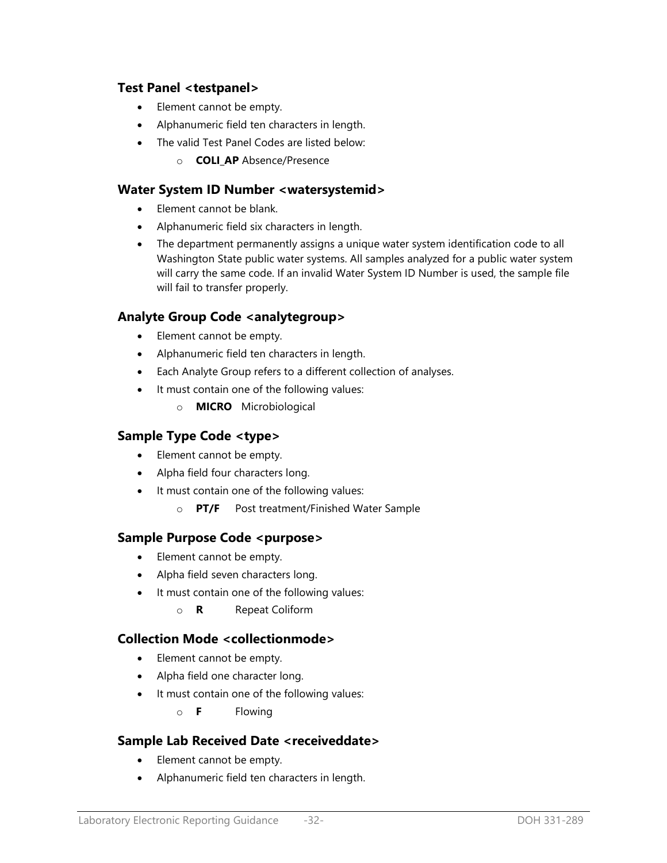## **Test Panel <testpanel>**

- Element cannot be empty.
- Alphanumeric field ten characters in length.
- The valid Test Panel Codes are listed below:
	- o **COLI\_AP** Absence/Presence

### **Water System ID Number <watersystemid>**

- Element cannot be blank.
- Alphanumeric field six characters in length.
- The department permanently assigns a unique water system identification code to all Washington State public water systems. All samples analyzed for a public water system will carry the same code. If an invalid Water System ID Number is used, the sample file will fail to transfer properly.

## **Analyte Group Code <analytegroup>**

- Element cannot be empty.
- Alphanumeric field ten characters in length.
- Each Analyte Group refers to a different collection of analyses.
- It must contain one of the following values:
	- o **MICRO** Microbiological

## **Sample Type Code <type>**

- Element cannot be empty.
- Alpha field four characters long.
- It must contain one of the following values:
	- o **PT/F** Post treatment/Finished Water Sample

### Sample Purpose Code <purpose>

- Element cannot be empty.
- Alpha field seven characters long.
- It must contain one of the following values:
	- o **R** Repeat Coliform

## **Collection Mode <collectionmode>**

- Element cannot be empty.
- Alpha field one character long.
- It must contain one of the following values:
	- o **F** Flowing

## **Sample Lab Received Date <receiveddate>**

- Element cannot be empty.
- Alphanumeric field ten characters in length.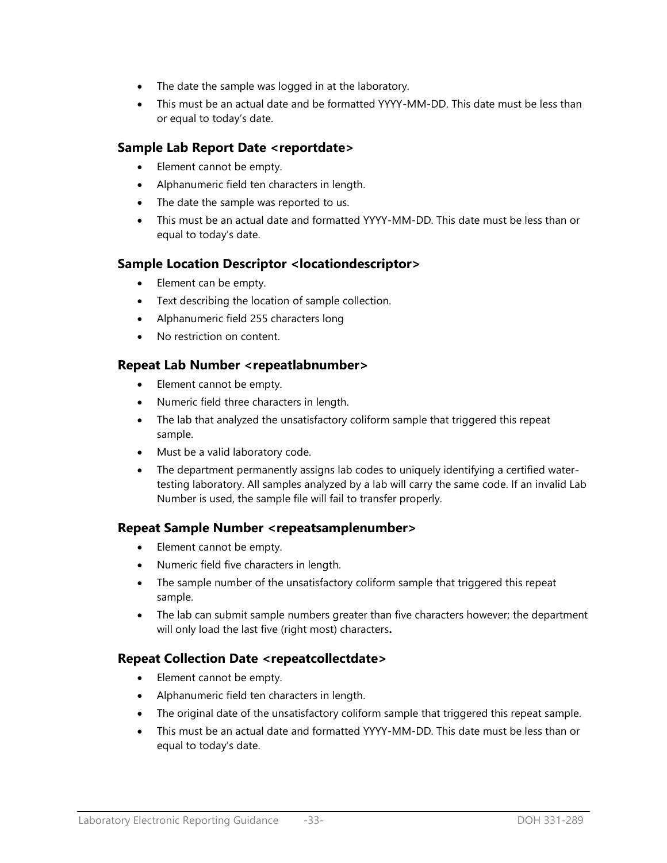- The date the sample was logged in at the laboratory.
- This must be an actual date and be formatted YYYY-MM-DD. This date must be less than or equal to today's date.

## **Sample Lab Report Date <reportdate>**

- Element cannot be empty.
- Alphanumeric field ten characters in length.
- The date the sample was reported to us.
- This must be an actual date and formatted YYYY-MM-DD. This date must be less than or equal to today's date.

## **Sample Location Descriptor <locationdescriptor>**

- Element can be empty.
- Text describing the location of sample collection.
- Alphanumeric field 255 characters long
- No restriction on content.

## **Repeat Lab Number <repeatlabnumber>**

- Element cannot be empty.
- Numeric field three characters in length.
- The lab that analyzed the unsatisfactory coliform sample that triggered this repeat sample.
- Must be a valid laboratory code.
- The department permanently assigns lab codes to uniquely identifying a certified watertesting laboratory. All samples analyzed by a lab will carry the same code. If an invalid Lab Number is used, the sample file will fail to transfer properly.

## **Repeat Sample Number <repeatsamplenumber>**

- Element cannot be empty.
- Numeric field five characters in length.
- The sample number of the unsatisfactory coliform sample that triggered this repeat sample.
- The lab can submit sample numbers greater than five characters however; the department will only load the last five (right most) characters**.**

## **Repeat Collection Date <repeatcollectdate>**

- Element cannot be empty.
- Alphanumeric field ten characters in length.
- The original date of the unsatisfactory coliform sample that triggered this repeat sample.
- This must be an actual date and formatted YYYY-MM-DD. This date must be less than or equal to today's date.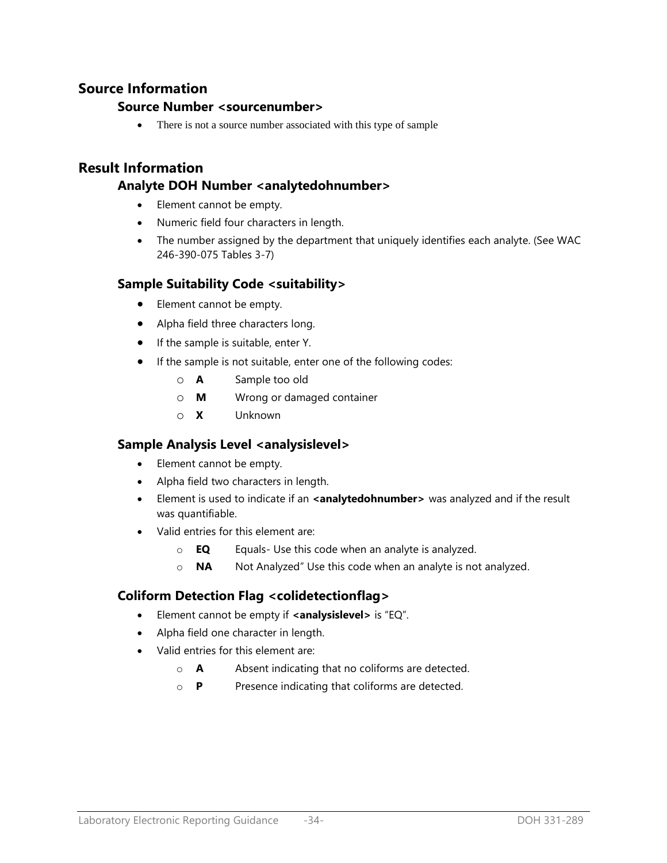## **Source Information**

### **Source Number <sourcenumber>**

• There is not a source number associated with this type of sample

## **Result Information**

## **Analyte DOH Number <analytedohnumber>**

- Element cannot be empty.
- Numeric field four characters in length.
- The number assigned by the department that uniquely identifies each analyte. (See WAC 246-390-075 Tables 3-7)

## **Sample Suitability Code <suitability>**

- Element cannot be empty.
- Alpha field three characters long.
- If the sample is suitable, enter Y.
- If the sample is not suitable, enter one of the following codes:
	- o **A** Sample too old
	- o **M** Wrong or damaged container
	- o **X** Unknown

## **Sample Analysis Level <analysislevel>**

- Element cannot be empty.
- Alpha field two characters in length.
- Element is used to indicate if an **<analytedohnumber>** was analyzed and if the result was quantifiable.
- Valid entries for this element are:
	- o **EQ** Equals- Use this code when an analyte is analyzed.
	- o **NA** Not Analyzed" Use this code when an analyte is not analyzed.

## **Coliform Detection Flag <colidetectionflag>**

- Element cannot be empty if **<analysislevel>** is "EQ".
- Alpha field one character in length.
- Valid entries for this element are:
	- o **A** Absent indicating that no coliforms are detected.
	- o **P** Presence indicating that coliforms are detected.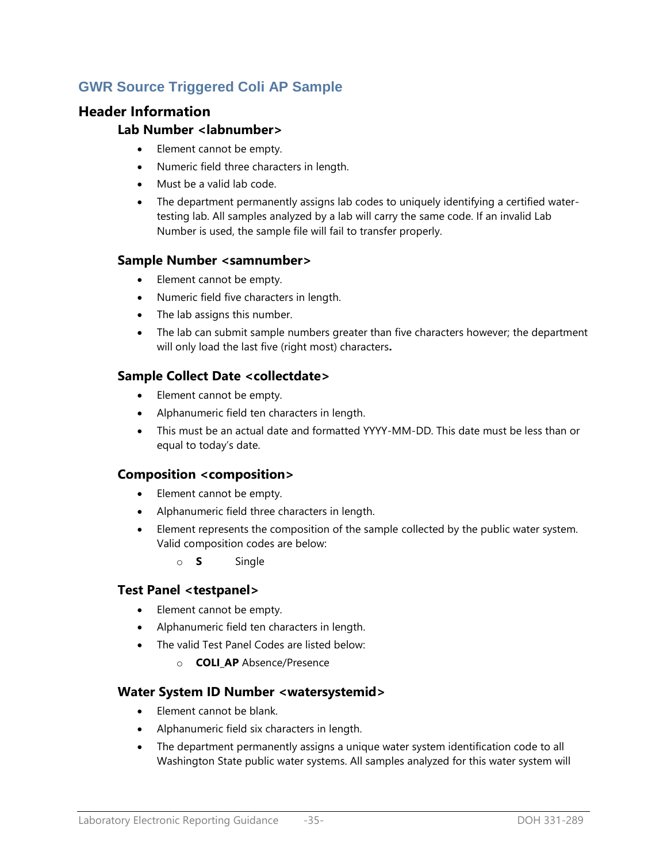## **GWR Source Triggered Coli AP Sample**

## **Header Information**

## **Lab Number <labnumber>**

- Element cannot be empty.
- Numeric field three characters in length.
- Must be a valid lab code.
- The department permanently assigns lab codes to uniquely identifying a certified watertesting lab. All samples analyzed by a lab will carry the same code. If an invalid Lab Number is used, the sample file will fail to transfer properly.

## **Sample Number <samnumber>**

- Element cannot be empty.
- Numeric field five characters in length.
- The lab assigns this number.
- The lab can submit sample numbers greater than five characters however; the department will only load the last five (right most) characters**.**

## **Sample Collect Date <collectdate>**

- Element cannot be empty.
- Alphanumeric field ten characters in length.
- This must be an actual date and formatted YYYY-MM-DD. This date must be less than or equal to today's date.

## **Composition <composition>**

- Element cannot be empty.
- Alphanumeric field three characters in length.
- Element represents the composition of the sample collected by the public water system. Valid composition codes are below:
	- o **S** Single

## **Test Panel <testpanel>**

- Element cannot be empty.
- Alphanumeric field ten characters in length.
- The valid Test Panel Codes are listed below:
	- o **COLI\_AP** Absence/Presence

## **Water System ID Number <watersystemid>**

- Element cannot be blank.
- Alphanumeric field six characters in length.
- The department permanently assigns a unique water system identification code to all Washington State public water systems. All samples analyzed for this water system will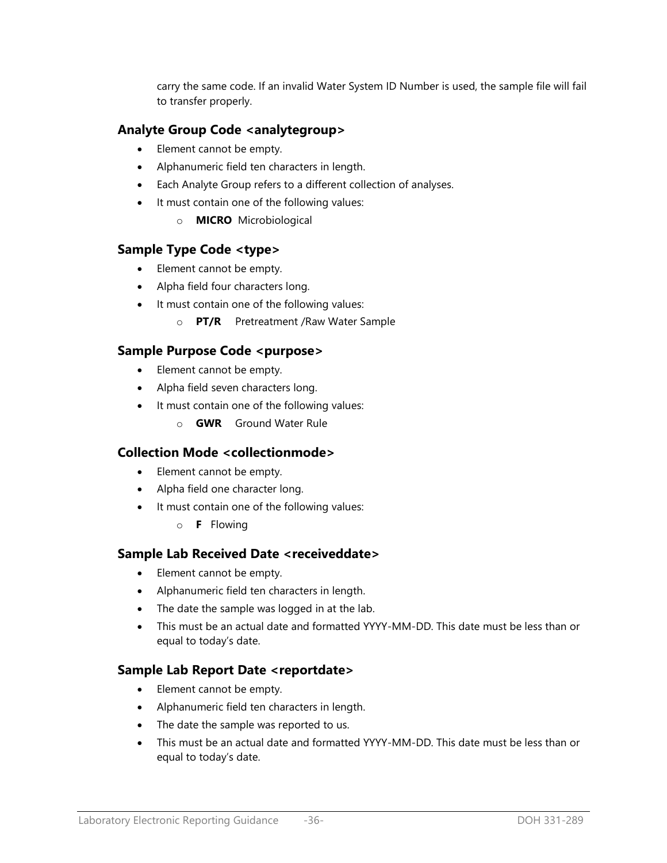carry the same code. If an invalid Water System ID Number is used, the sample file will fail to transfer properly.

## **Analyte Group Code <analytegroup>**

- Element cannot be empty.
- Alphanumeric field ten characters in length.
- Each Analyte Group refers to a different collection of analyses.
- It must contain one of the following values:
	- o **MICRO** Microbiological

### **Sample Type Code <type>**

- Element cannot be empty.
- Alpha field four characters long.
- It must contain one of the following values:
	- o **PT/R** Pretreatment /Raw Water Sample

## **Sample Purpose Code <purpose>**

- Element cannot be empty.
- Alpha field seven characters long.
- It must contain one of the following values:
	- o **GWR** Ground Water Rule

### **Collection Mode <collectionmode>**

- Element cannot be empty.
- Alpha field one character long.
- It must contain one of the following values:
	- o **F** Flowing

### **Sample Lab Received Date <receiveddate>**

- Element cannot be empty.
- Alphanumeric field ten characters in length.
- The date the sample was logged in at the lab.
- This must be an actual date and formatted YYYY-MM-DD. This date must be less than or equal to today's date.

## **Sample Lab Report Date <reportdate>**

- Element cannot be empty.
- Alphanumeric field ten characters in length.
- The date the sample was reported to us.
- This must be an actual date and formatted YYYY-MM-DD. This date must be less than or equal to today's date.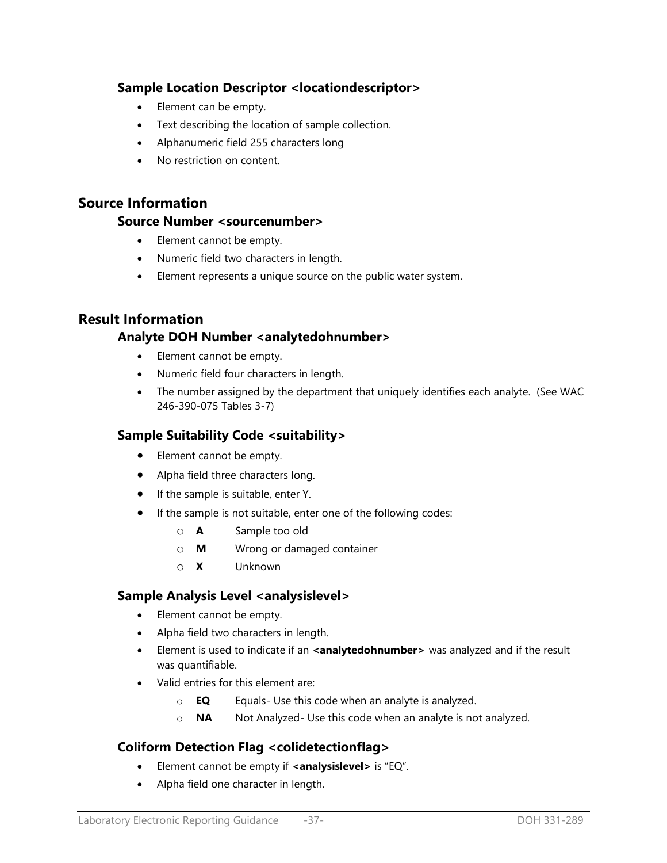## **Sample Location Descriptor <locationdescriptor>**

- Element can be empty.
- Text describing the location of sample collection.
- Alphanumeric field 255 characters long
- No restriction on content.

## **Source Information**

### **Source Number <sourcenumber>**

- Element cannot be empty.
- Numeric field two characters in length.
- Element represents a unique source on the public water system.

## **Result Information**

## **Analyte DOH Number <analytedohnumber>**

- Element cannot be empty.
- Numeric field four characters in length.
- The number assigned by the department that uniquely identifies each analyte. (See WAC 246-390-075 Tables 3-7)

### **Sample Suitability Code <suitability>**

- Element cannot be empty.
- Alpha field three characters long.
- If the sample is suitable, enter Y.
- If the sample is not suitable, enter one of the following codes:
	- o **A** Sample too old
	- o **M** Wrong or damaged container
	- o **X** Unknown

### **Sample Analysis Level <analysislevel>**

- Element cannot be empty.
- Alpha field two characters in length.
- Element is used to indicate if an **<analytedohnumber>** was analyzed and if the result was quantifiable.
- Valid entries for this element are:
	- o **EQ** Equals- Use this code when an analyte is analyzed.
	- o **NA** Not Analyzed- Use this code when an analyte is not analyzed.

## **Coliform Detection Flag <colidetectionflag>**

- Element cannot be empty if **<analysislevel>** is "EQ".
- Alpha field one character in length.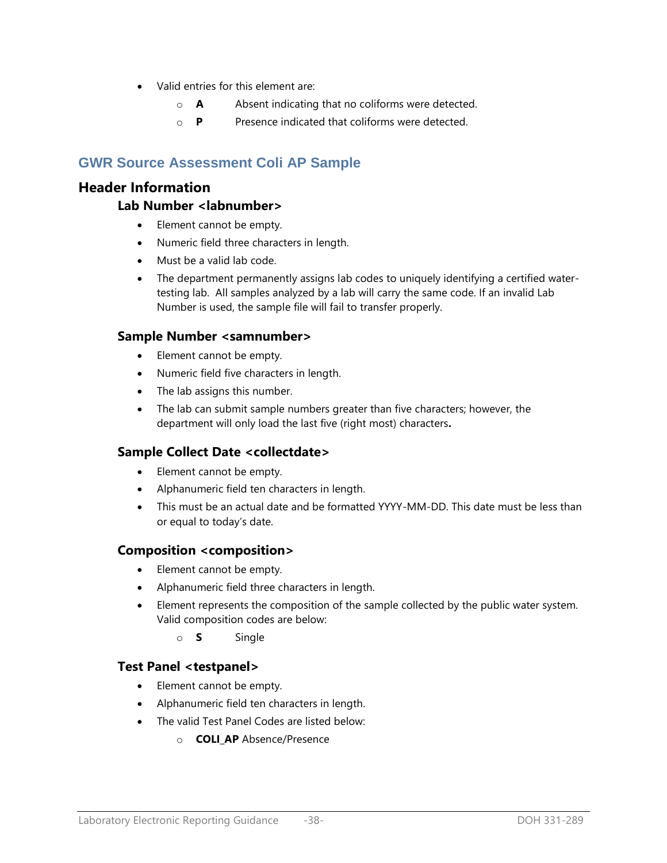- Valid entries for this element are:
	- o **A** Absent indicating that no coliforms were detected.
	- o **P** Presence indicated that coliforms were detected.

## **GWR Source Assessment Coli AP Sample**

### **Header Information**

### **Lab Number <labnumber>**

- Element cannot be empty.
- Numeric field three characters in length.
- Must be a valid lab code.
- The department permanently assigns lab codes to uniquely identifying a certified watertesting lab. All samples analyzed by a lab will carry the same code. If an invalid Lab Number is used, the sample file will fail to transfer properly.

### **Sample Number <samnumber>**

- Element cannot be empty.
- Numeric field five characters in length.
- The lab assigns this number.
- The lab can submit sample numbers greater than five characters; however, the department will only load the last five (right most) characters**.**

## **Sample Collect Date <collectdate>**

- Element cannot be empty.
- Alphanumeric field ten characters in length.
- This must be an actual date and be formatted YYYY-MM-DD. This date must be less than or equal to today's date.

### **Composition <composition>**

- Element cannot be empty.
- Alphanumeric field three characters in length.
- Element represents the composition of the sample collected by the public water system. Valid composition codes are below:
	- o **S** Single

### **Test Panel <testpanel>**

- Element cannot be empty.
- Alphanumeric field ten characters in length.
- The valid Test Panel Codes are listed below:
	- o **COLI\_AP** Absence/Presence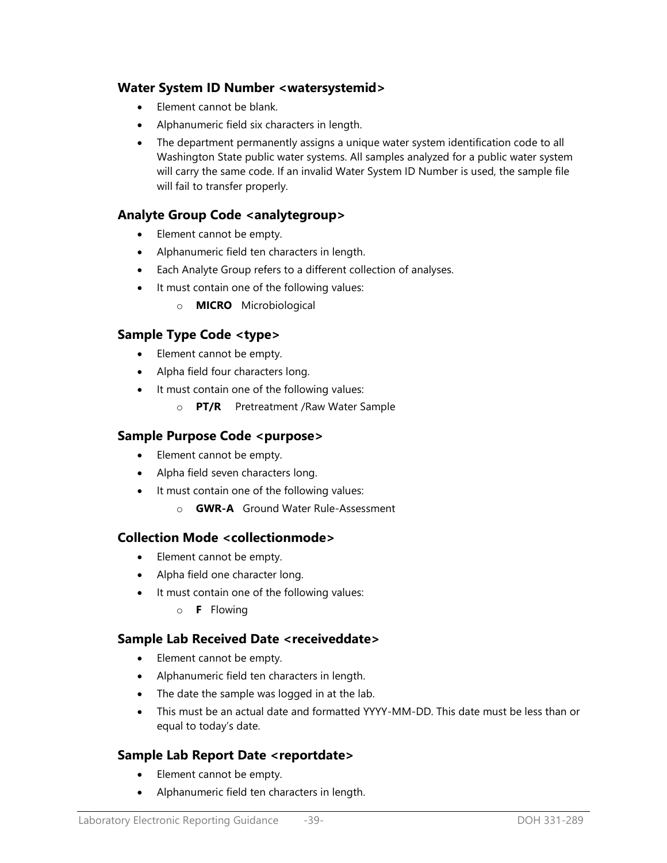### **Water System ID Number <watersystemid>**

- Element cannot be blank.
- Alphanumeric field six characters in length.
- The department permanently assigns a unique water system identification code to all Washington State public water systems. All samples analyzed for a public water system will carry the same code. If an invalid Water System ID Number is used, the sample file will fail to transfer properly.

### **Analyte Group Code <analytegroup>**

- Element cannot be empty.
- Alphanumeric field ten characters in length.
- Each Analyte Group refers to a different collection of analyses.
- It must contain one of the following values:
	- o **MICRO** Microbiological

### **Sample Type Code <type>**

- Element cannot be empty.
- Alpha field four characters long.
- It must contain one of the following values:
	- o **PT/R** Pretreatment /Raw Water Sample

### **Sample Purpose Code <purpose>**

- Element cannot be empty.
- Alpha field seven characters long.
- It must contain one of the following values:
	- o **GWR-A** Ground Water Rule-Assessment

### **Collection Mode <collectionmode>**

- Element cannot be empty.
- Alpha field one character long.
- It must contain one of the following values:
	- o **F** Flowing

### **Sample Lab Received Date <receiveddate>**

- Element cannot be empty.
- Alphanumeric field ten characters in length.
- The date the sample was logged in at the lab.
- This must be an actual date and formatted YYYY-MM-DD. This date must be less than or equal to today's date.

## **Sample Lab Report Date <reportdate>**

- Element cannot be empty.
- Alphanumeric field ten characters in length.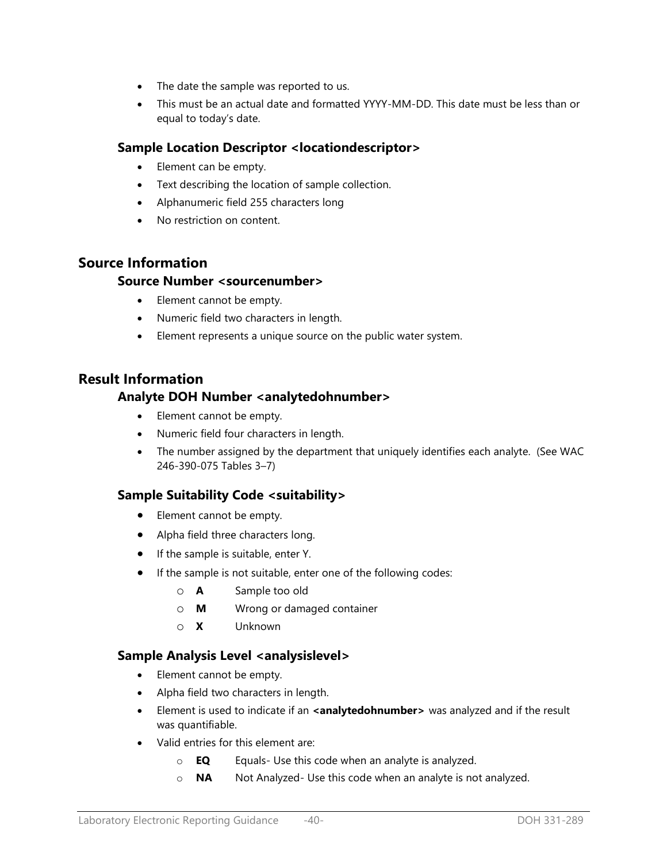- The date the sample was reported to us.
- This must be an actual date and formatted YYYY-MM-DD. This date must be less than or equal to today's date.

## **Sample Location Descriptor <locationdescriptor>**

- Element can be empty.
- Text describing the location of sample collection.
- Alphanumeric field 255 characters long
- No restriction on content.

## **Source Information**

### **Source Number <sourcenumber>**

- Element cannot be empty.
- Numeric field two characters in length.
- Element represents a unique source on the public water system.

## **Result Information**

### **Analyte DOH Number <analytedohnumber>**

- Element cannot be empty.
- Numeric field four characters in length.
- The number assigned by the department that uniquely identifies each analyte. (See WAC 246-390-075 Tables 3–7)

## **Sample Suitability Code <suitability>**

- Element cannot be empty.
- Alpha field three characters long.
- If the sample is suitable, enter Y.
- If the sample is not suitable, enter one of the following codes:
	- o **A** Sample too old
	- o **M** Wrong or damaged container
	- o **X** Unknown

## **Sample Analysis Level <analysislevel>**

- Element cannot be empty.
- Alpha field two characters in length.
- **Element is used to indicate if an <b><analytedohnumber>** was analyzed and if the result was quantifiable.
- Valid entries for this element are:
	- o **EQ** Equals- Use this code when an analyte is analyzed.
	- o **NA** Not Analyzed- Use this code when an analyte is not analyzed.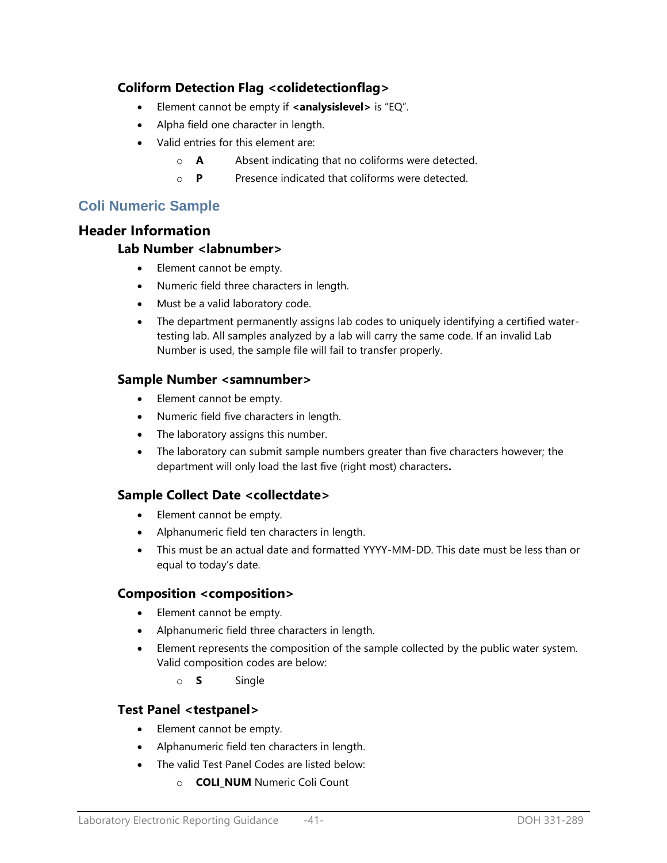## **Coliform Detection Flag <colidetectionflag>**

- Element cannot be empty if **<analysislevel>** is "EQ".
- Alpha field one character in length.
- Valid entries for this element are:
	- o **A** Absent indicating that no coliforms were detected.
	- o **P** Presence indicated that coliforms were detected.

## **Coli Numeric Sample**

### **Header Information**

### **Lab Number <labnumber>**

- Element cannot be empty.
- Numeric field three characters in length.
- Must be a valid laboratory code.
- The department permanently assigns lab codes to uniquely identifying a certified watertesting lab. All samples analyzed by a lab will carry the same code. If an invalid Lab Number is used, the sample file will fail to transfer properly.

### **Sample Number <samnumber>**

- Element cannot be empty.
- Numeric field five characters in length.
- The laboratory assigns this number.
- The laboratory can submit sample numbers greater than five characters however; the department will only load the last five (right most) characters**.**

## **Sample Collect Date <collectdate>**

- Element cannot be empty.
- Alphanumeric field ten characters in length.
- This must be an actual date and formatted YYYY-MM-DD. This date must be less than or equal to today's date.

### **Composition <composition>**

- Element cannot be empty.
- Alphanumeric field three characters in length.
- Element represents the composition of the sample collected by the public water system. Valid composition codes are below:
	- o **S** Single

## **Test Panel <testpanel>**

- Element cannot be empty.
- Alphanumeric field ten characters in length.
- The valid Test Panel Codes are listed below:
	- o **COLI\_NUM** Numeric Coli Count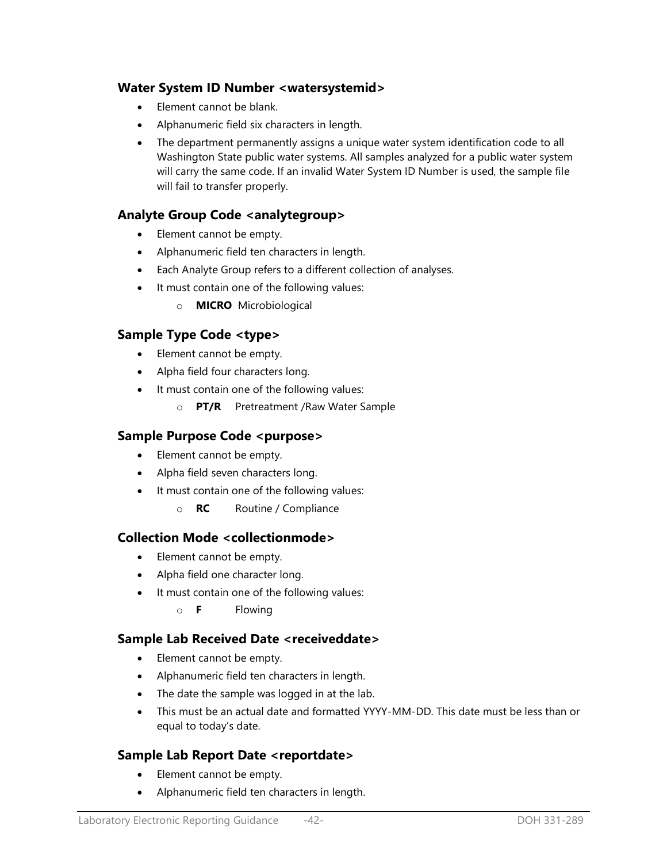### **Water System ID Number <watersystemid>**

- Element cannot be blank.
- Alphanumeric field six characters in length.
- The department permanently assigns a unique water system identification code to all Washington State public water systems. All samples analyzed for a public water system will carry the same code. If an invalid Water System ID Number is used, the sample file will fail to transfer properly.

### **Analyte Group Code <analytegroup>**

- Element cannot be empty.
- Alphanumeric field ten characters in length.
- Each Analyte Group refers to a different collection of analyses.
- It must contain one of the following values:
	- o **MICRO** Microbiological

### **Sample Type Code <type>**

- Element cannot be empty.
- Alpha field four characters long.
- It must contain one of the following values:
	- o **PT/R** Pretreatment /Raw Water Sample

### **Sample Purpose Code <purpose>**

- Element cannot be empty.
- Alpha field seven characters long.
- It must contain one of the following values:
	- o **RC** Routine / Compliance

### **Collection Mode <collectionmode>**

- Element cannot be empty.
- Alpha field one character long.
- It must contain one of the following values:
	- o **F** Flowing

### **Sample Lab Received Date <receiveddate>**

- Element cannot be empty.
- Alphanumeric field ten characters in length.
- The date the sample was logged in at the lab.
- This must be an actual date and formatted YYYY-MM-DD. This date must be less than or equal to today's date.

## **Sample Lab Report Date <reportdate>**

- Element cannot be empty.
- Alphanumeric field ten characters in length.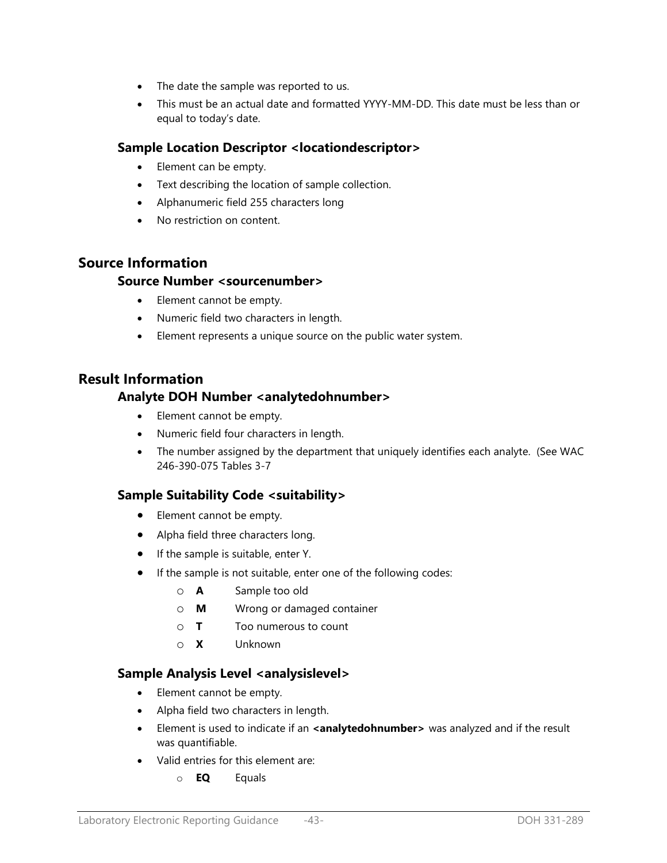- The date the sample was reported to us.
- This must be an actual date and formatted YYYY-MM-DD. This date must be less than or equal to today's date.

## **Sample Location Descriptor <locationdescriptor>**

- Element can be empty.
- Text describing the location of sample collection.
- Alphanumeric field 255 characters long
- No restriction on content.

## **Source Information**

### **Source Number <sourcenumber>**

- Element cannot be empty.
- Numeric field two characters in length.
- Element represents a unique source on the public water system.

## **Result Information**

## **Analyte DOH Number <analytedohnumber>**

- Element cannot be empty.
- Numeric field four characters in length.
- The number assigned by the department that uniquely identifies each analyte. (See WAC 246-390-075 Tables 3-7

## **Sample Suitability Code <suitability>**

- Element cannot be empty.
- Alpha field three characters long.
- If the sample is suitable, enter Y.
- If the sample is not suitable, enter one of the following codes:
	- o **A** Sample too old
	- o **M** Wrong or damaged container
	- o **T** Too numerous to count
	- o **X** Unknown

## **Sample Analysis Level <analysislevel>**

- Element cannot be empty.
- Alpha field two characters in length.
- Element is used to indicate if an **<analytedohnumber>** was analyzed and if the result was quantifiable.
- Valid entries for this element are:
	- o **EQ** Equals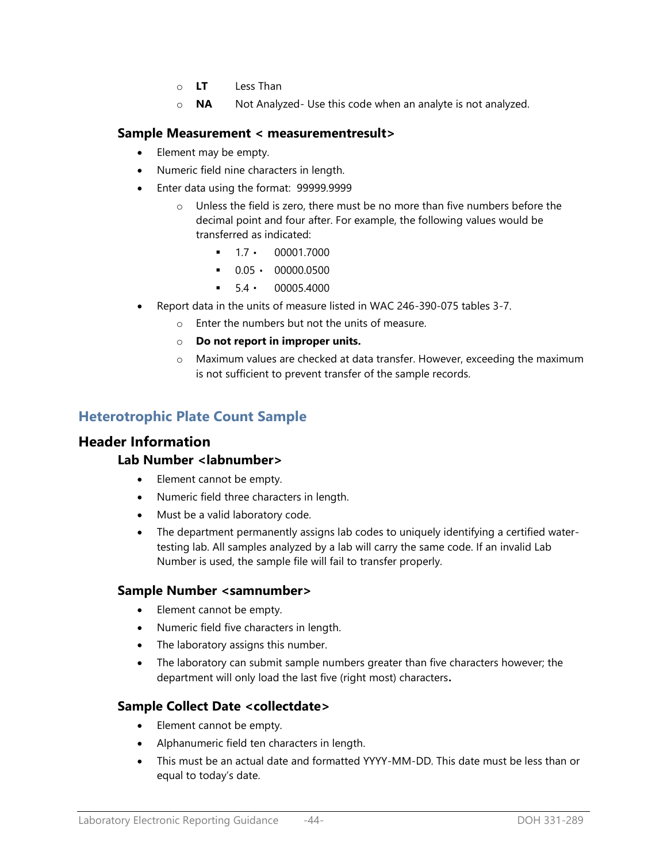- o **LT** Less Than
- o **NA** Not Analyzed- Use this code when an analyte is not analyzed.

#### **Sample Measurement < measurementresult>**

- Element may be empty.
- Numeric field nine characters in length.
- Enter data using the format: 99999.9999
	- o Unless the field is zero, there must be no more than five numbers before the decimal point and four after. For example, the following values would be transferred as indicated:
		- $-1.7 \cdot 00001.7000$
		- $\bullet$  0.05  $\cdot$  00000.0500
		- $5.4 \cdot 00005.4000$
- Report data in the units of measure listed in WAC 246-390-075 tables 3-7.
	- o Enter the numbers but not the units of measure.
	- o **Do not report in improper units.**
	- o Maximum values are checked at data transfer. However, exceeding the maximum is not sufficient to prevent transfer of the sample records.

## **Heterotrophic Plate Count Sample**

### **Header Information**

### **Lab Number <labnumber>**

- Element cannot be empty.
- Numeric field three characters in length.
- Must be a valid laboratory code.
- The department permanently assigns lab codes to uniquely identifying a certified watertesting lab. All samples analyzed by a lab will carry the same code. If an invalid Lab Number is used, the sample file will fail to transfer properly.

### **Sample Number <samnumber>**

- Element cannot be empty.
- Numeric field five characters in length.
- The laboratory assigns this number.
- The laboratory can submit sample numbers greater than five characters however; the department will only load the last five (right most) characters**.**

### **Sample Collect Date <collectdate>**

- Element cannot be empty.
- Alphanumeric field ten characters in length.
- This must be an actual date and formatted YYYY-MM-DD. This date must be less than or equal to today's date.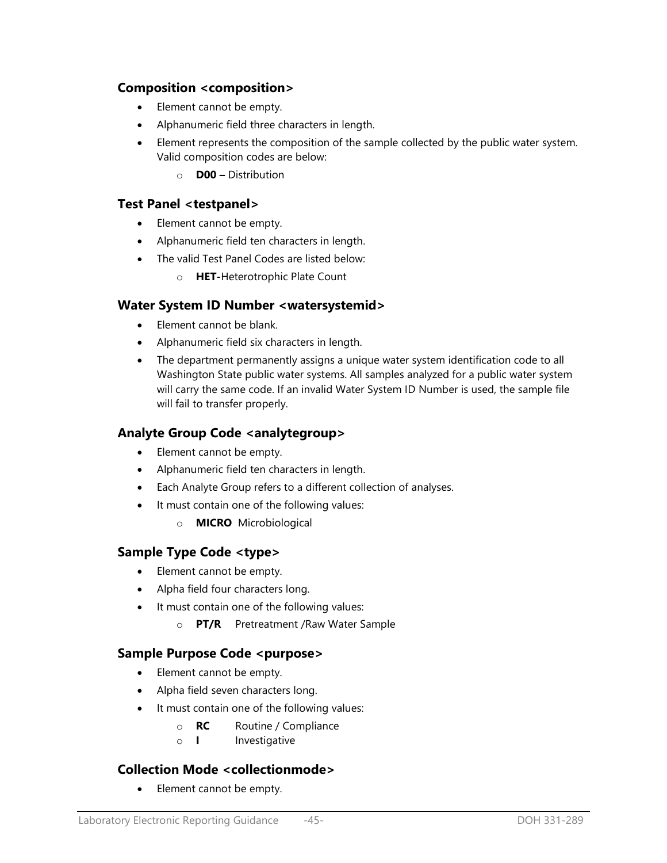## **Composition <composition>**

- Element cannot be empty.
- Alphanumeric field three characters in length.
- Element represents the composition of the sample collected by the public water system. Valid composition codes are below:
	- o **D00 –** Distribution

### **Test Panel <testpanel>**

- Element cannot be empty.
- Alphanumeric field ten characters in length.
- The valid Test Panel Codes are listed below:
	- o **HET-**Heterotrophic Plate Count

### **Water System ID Number <watersystemid>**

- Element cannot be blank.
- Alphanumeric field six characters in length.
- The department permanently assigns a unique water system identification code to all Washington State public water systems. All samples analyzed for a public water system will carry the same code. If an invalid Water System ID Number is used, the sample file will fail to transfer properly.

### **Analyte Group Code <analytegroup>**

- Element cannot be empty.
- Alphanumeric field ten characters in length.
- Each Analyte Group refers to a different collection of analyses.
- It must contain one of the following values:
	- o **MICRO** Microbiological

## **Sample Type Code <type>**

- Element cannot be empty.
- Alpha field four characters long.
- It must contain one of the following values:
	- o **PT/R** Pretreatment /Raw Water Sample

## **Sample Purpose Code <purpose>**

- Element cannot be empty.
- Alpha field seven characters long.
- It must contain one of the following values:
	- o **RC** Routine / Compliance
	- o **I** Investigative

### **Collection Mode <collectionmode>**

• Element cannot be empty.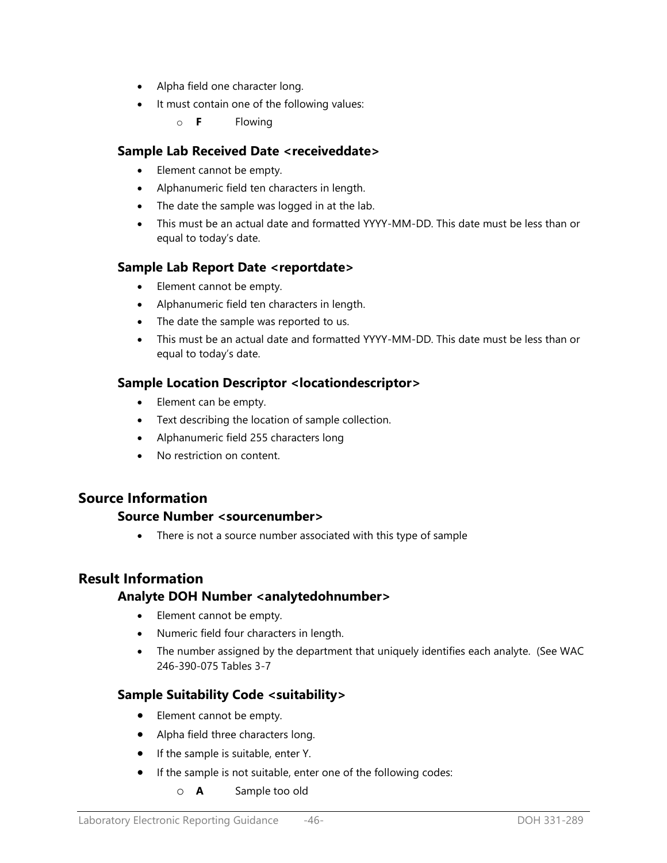- Alpha field one character long.
- It must contain one of the following values:
	- o **F** Flowing

## **Sample Lab Received Date <receiveddate>**

- Element cannot be empty.
- Alphanumeric field ten characters in length.
- The date the sample was logged in at the lab.
- This must be an actual date and formatted YYYY-MM-DD. This date must be less than or equal to today's date.

## **Sample Lab Report Date <reportdate>**

- Element cannot be empty.
- Alphanumeric field ten characters in length.
- The date the sample was reported to us.
- This must be an actual date and formatted YYYY-MM-DD. This date must be less than or equal to today's date.

## **Sample Location Descriptor <locationdescriptor>**

- Element can be empty.
- Text describing the location of sample collection.
- Alphanumeric field 255 characters long
- No restriction on content.

## **Source Information**

### **Source Number <sourcenumber>**

• There is not a source number associated with this type of sample

## **Result Information**

## **Analyte DOH Number <analytedohnumber>**

- Element cannot be empty.
- Numeric field four characters in length.
- The number assigned by the department that uniquely identifies each analyte. (See WAC 246-390-075 Tables 3-7

## **Sample Suitability Code <suitability>**

- Element cannot be empty.
- Alpha field three characters long.
- If the sample is suitable, enter Y.
- If the sample is not suitable, enter one of the following codes:
	- o **A** Sample too old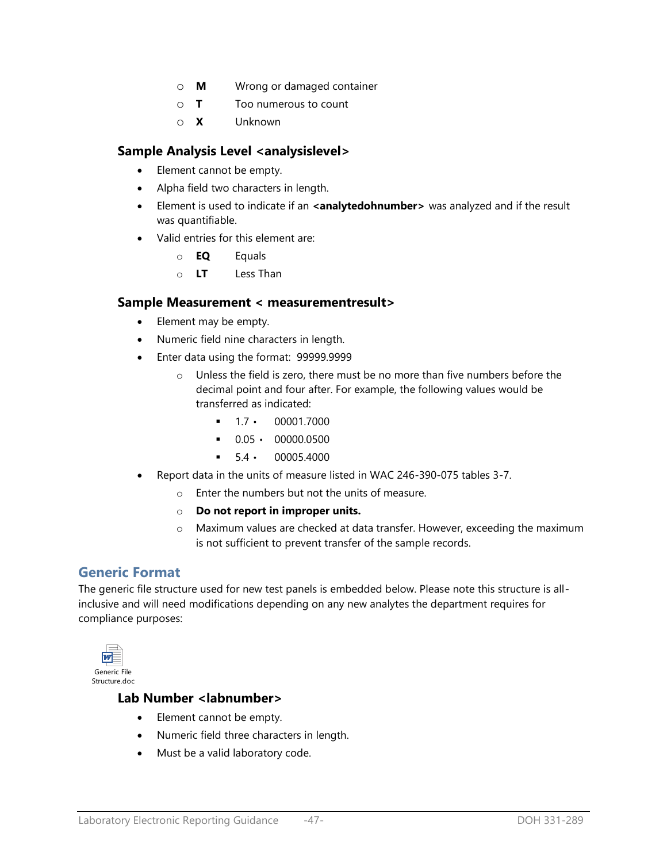- o **M** Wrong or damaged container
- o **T** Too numerous to count
- o **X** Unknown

### Sample Analysis Level <analysislevel>

- Element cannot be empty.
- Alpha field two characters in length.
- Element is used to indicate if an **<analytedohnumber>** was analyzed and if the result was quantifiable.
- Valid entries for this element are:
	- o **EQ** Equals
	- o **LT** Less Than

#### **Sample Measurement < measurementresult>**

- Element may be empty.
- Numeric field nine characters in length.
- Enter data using the format: 99999.9999
	- o Unless the field is zero, there must be no more than five numbers before the decimal point and four after. For example, the following values would be transferred as indicated:
		- $-1.7 \cdot 00001.7000$
		- $\bullet$  0.05  $\cdot$  00000.0500
		- $-5.4 \cdot 00005.4000$
- Report data in the units of measure listed in WAC 246-390-075 tables 3-7.
	- o Enter the numbers but not the units of measure.
	- o **Do not report in improper units.**
	- o Maximum values are checked at data transfer. However, exceeding the maximum is not sufficient to prevent transfer of the sample records.

## **Generic Format**

The generic file structure used for new test panels is embedded below. Please note this structure is allinclusive and will need modifications depending on any new analytes the department requires for compliance purposes:



#### **Lab Number <labnumber>**

- Element cannot be empty.
- Numeric field three characters in length.
- Must be a valid laboratory code.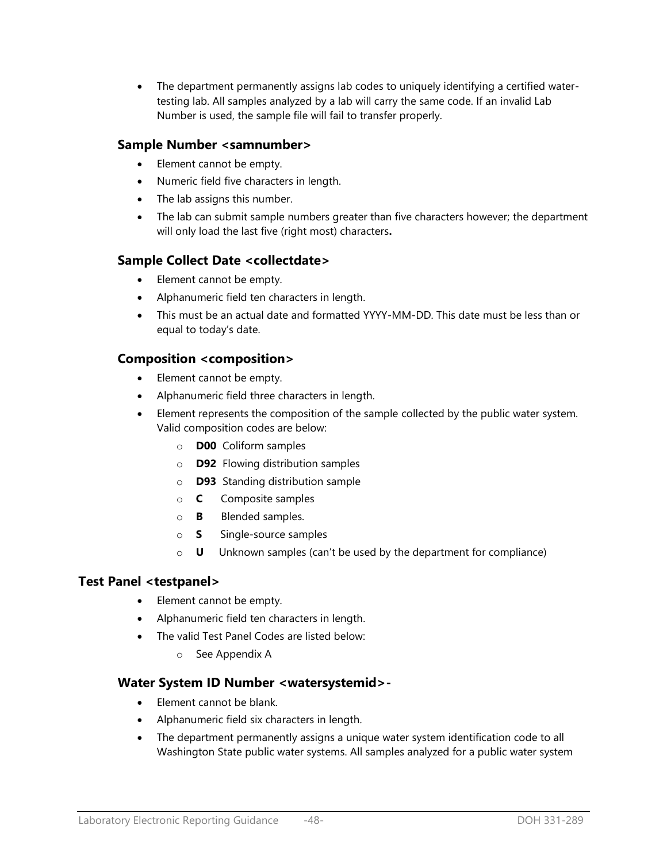The department permanently assigns lab codes to uniquely identifying a certified watertesting lab. All samples analyzed by a lab will carry the same code. If an invalid Lab Number is used, the sample file will fail to transfer properly.

## **Sample Number <samnumber>**

- Element cannot be empty.
- Numeric field five characters in length.
- The lab assigns this number.
- The lab can submit sample numbers greater than five characters however; the department will only load the last five (right most) characters**.**

## **Sample Collect Date <collectdate>**

- Element cannot be empty.
- Alphanumeric field ten characters in length.
- This must be an actual date and formatted YYYY-MM-DD. This date must be less than or equal to today's date.

## **Composition <composition>**

- Element cannot be empty.
- Alphanumeric field three characters in length.
- Element represents the composition of the sample collected by the public water system. Valid composition codes are below:
	- o **D00** Coliform samples
	- o **D92** Flowing distribution samples
	- o **D93** Standing distribution sample
	- o **C** Composite samples
	- o **B** Blended samples.
	- o **S** Single-source samples
	- o **U** Unknown samples (can't be used by the department for compliance)

## **Test Panel <testpanel>**

- Element cannot be empty.
- Alphanumeric field ten characters in length.
- The valid Test Panel Codes are listed below:
	- o See Appendix A

## **Water System ID Number <watersystemid>-**

- Element cannot be blank.
- Alphanumeric field six characters in length.
- The department permanently assigns a unique water system identification code to all Washington State public water systems. All samples analyzed for a public water system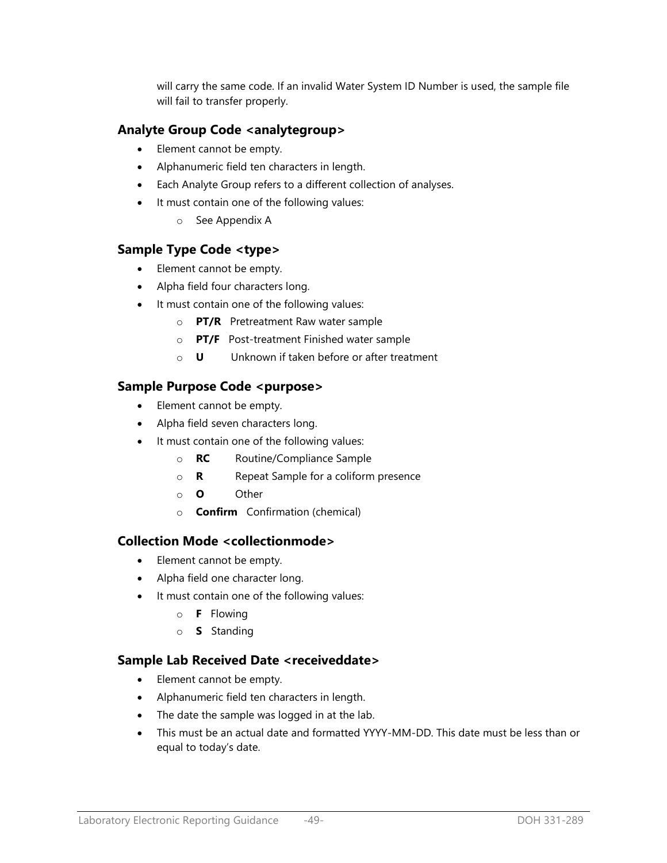will carry the same code. If an invalid Water System ID Number is used, the sample file will fail to transfer properly.

## **Analyte Group Code <analytegroup>**

- Element cannot be empty.
- Alphanumeric field ten characters in length.
- Each Analyte Group refers to a different collection of analyses.
- It must contain one of the following values:
	- o See Appendix A

### **Sample Type Code <type>**

- Element cannot be empty.
- Alpha field four characters long.
- It must contain one of the following values:
	- o **PT/R** Pretreatment Raw water sample
	- o **PT/F** Post-treatment Finished water sample
	- o **U** Unknown if taken before or after treatment

### Sample Purpose Code <purpose>

- Element cannot be empty.
- Alpha field seven characters long.
- It must contain one of the following values:
	- o **RC** Routine/Compliance Sample
	- o **R** Repeat Sample for a coliform presence
	- o **O** Other
	- o **Confirm** Confirmation (chemical)

### **Collection Mode <collectionmode>**

- Element cannot be empty.
- Alpha field one character long.
- It must contain one of the following values:
	- o **F** Flowing
	- o **S** Standing

## **Sample Lab Received Date <receiveddate>**

- Element cannot be empty.
- Alphanumeric field ten characters in length.
- The date the sample was logged in at the lab.
- This must be an actual date and formatted YYYY-MM-DD. This date must be less than or equal to today's date.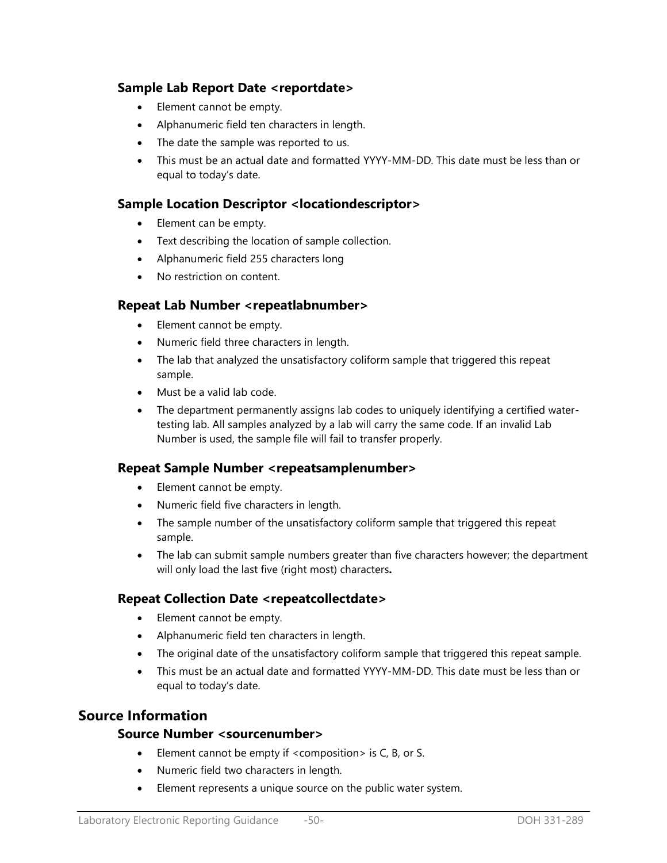## **Sample Lab Report Date <reportdate>**

- Element cannot be empty.
- Alphanumeric field ten characters in length.
- The date the sample was reported to us.
- This must be an actual date and formatted YYYY-MM-DD. This date must be less than or equal to today's date.

## **Sample Location Descriptor <locationdescriptor>**

- Element can be empty.
- Text describing the location of sample collection.
- Alphanumeric field 255 characters long
- No restriction on content.

### **Repeat Lab Number <repeatlabnumber>**

- Element cannot be empty.
- Numeric field three characters in length.
- The lab that analyzed the unsatisfactory coliform sample that triggered this repeat sample.
- Must be a valid lab code.
- The department permanently assigns lab codes to uniquely identifying a certified watertesting lab. All samples analyzed by a lab will carry the same code. If an invalid Lab Number is used, the sample file will fail to transfer properly.

### **Repeat Sample Number <repeatsamplenumber>**

- Element cannot be empty.
- Numeric field five characters in length.
- The sample number of the unsatisfactory coliform sample that triggered this repeat sample.
- The lab can submit sample numbers greater than five characters however; the department will only load the last five (right most) characters**.**

### **Repeat Collection Date <repeatcollectdate>**

- Element cannot be empty.
- Alphanumeric field ten characters in length.
- The original date of the unsatisfactory coliform sample that triggered this repeat sample.
- This must be an actual date and formatted YYYY-MM-DD. This date must be less than or equal to today's date.

## **Source Information**

### **Source Number <sourcenumber>**

- Element cannot be empty if  $\leq$  composition  $>$  is C, B, or S.
- Numeric field two characters in length.
- Element represents a unique source on the public water system.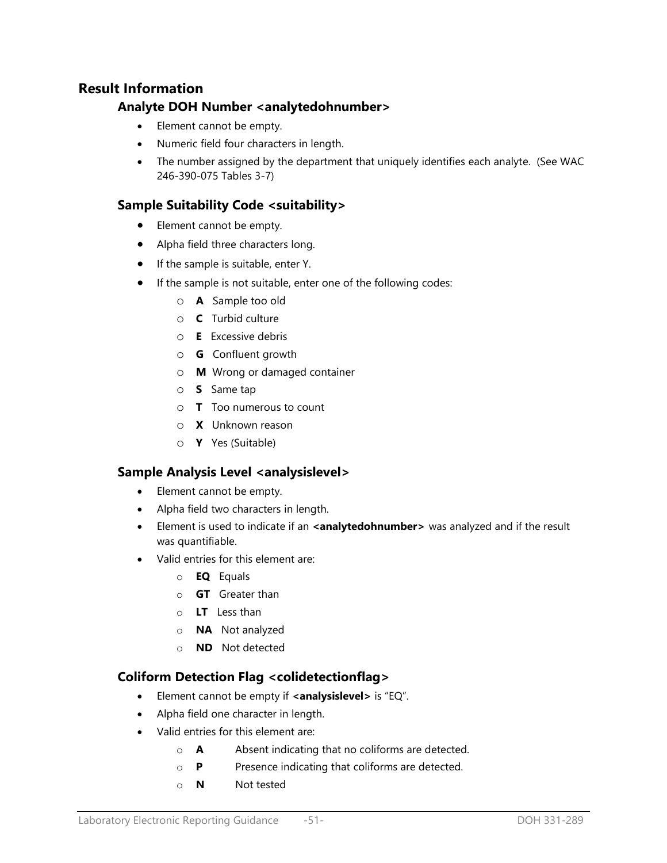## **Result Information**

## **Analyte DOH Number <analytedohnumber>**

- Element cannot be empty.
- Numeric field four characters in length.
- The number assigned by the department that uniquely identifies each analyte. (See WAC 246-390-075 Tables 3-7)

## **Sample Suitability Code <suitability>**

- Element cannot be empty.
- Alpha field three characters long.
- If the sample is suitable, enter Y.
- If the sample is not suitable, enter one of the following codes:
	- o **A** Sample too old
	- o **C** Turbid culture
	- o **E** Excessive debris
	- o **G** Confluent growth
	- o **M** Wrong or damaged container
	- o **S** Same tap
	- o **T** Too numerous to count
	- o **X** Unknown reason
	- o **Y** Yes (Suitable)

## **Sample Analysis Level <analysislevel>**

- Element cannot be empty.
- Alpha field two characters in length.
- **Element is used to indicate if an <analytedohnumber>** was analyzed and if the result was quantifiable.
- Valid entries for this element are:
	- o **EQ** Equals
	- o **GT** Greater than
	- o **LT** Less than
	- o **NA** Not analyzed
	- o **ND** Not detected

## **Coliform Detection Flag <colidetectionflag>**

- Element cannot be empty if **<analysislevel>** is "EQ".
- Alpha field one character in length.
- Valid entries for this element are:
	- o **A** Absent indicating that no coliforms are detected.
	- o **P** Presence indicating that coliforms are detected.
	- o **N** Not tested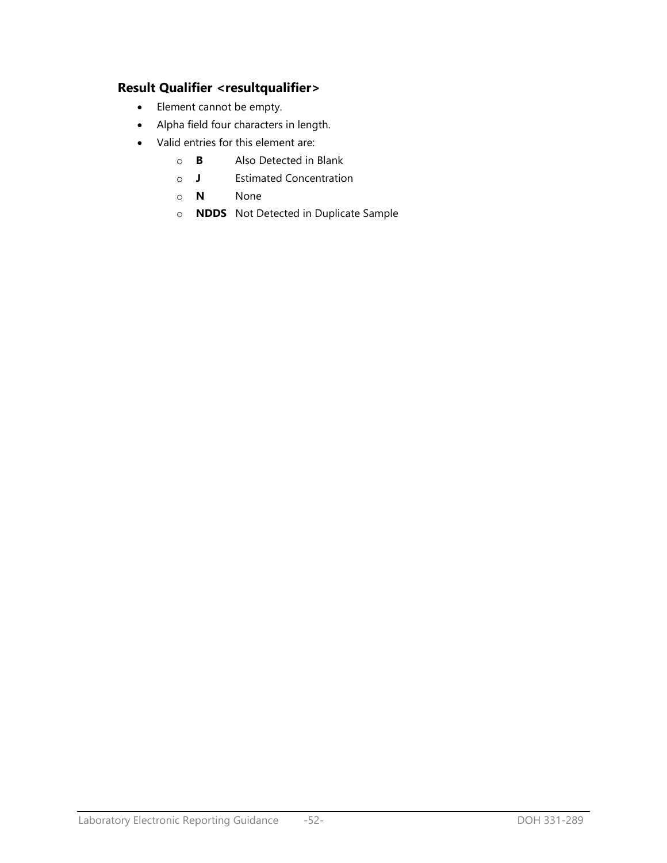## **Result Qualifier <resultqualifier>**

- Element cannot be empty.
- Alpha field four characters in length.
- Valid entries for this element are:
	- o **B** Also Detected in Blank
	- o **J** Estimated Concentration
	- o **N** None
	- o **NDDS** Not Detected in Duplicate Sample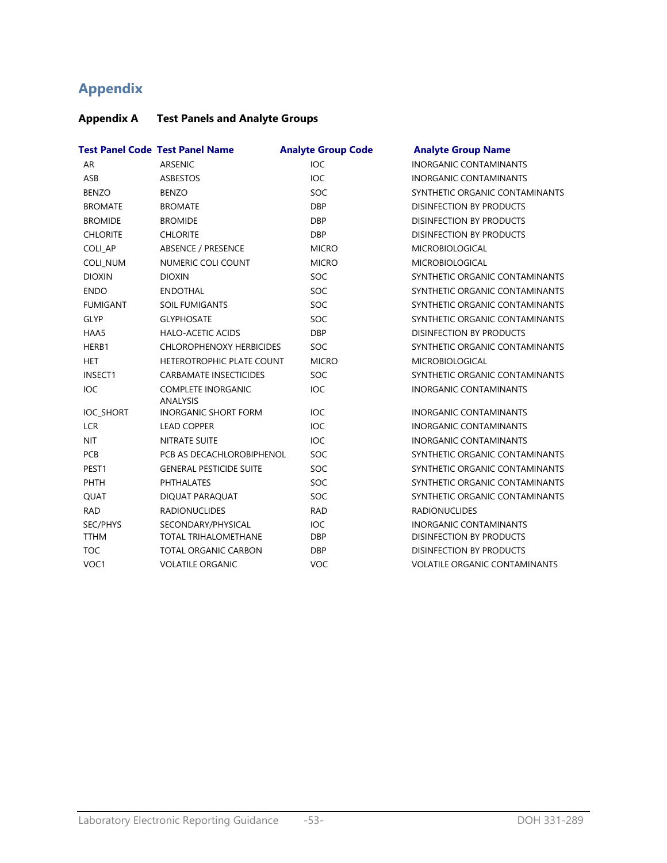# **Appendix**

## **Appendix A Test Panels and Analyte Groups**

|                  | <b>Test Panel Code Test Panel Name</b>       | <b>Analyte Group Code</b> | <b>Analyte Group Name</b>            |
|------------------|----------------------------------------------|---------------------------|--------------------------------------|
| <b>AR</b>        | ARSENIC                                      | <b>IOC</b>                | <b>INORGANIC CONTAMINANTS</b>        |
| ASB              | <b>ASBESTOS</b>                              | <b>IOC</b>                | <b>INORGANIC CONTAMINANTS</b>        |
| <b>BENZO</b>     | <b>BENZO</b>                                 | SOC                       | SYNTHETIC ORGANIC CONTAMINANTS       |
| <b>BROMATE</b>   | <b>BROMATE</b>                               | <b>DBP</b>                | <b>DISINFECTION BY PRODUCTS</b>      |
| <b>BROMIDE</b>   | <b>BROMIDE</b>                               | <b>DBP</b>                | <b>DISINFECTION BY PRODUCTS</b>      |
| <b>CHLORITE</b>  | <b>CHLORITE</b>                              | <b>DBP</b>                | <b>DISINFECTION BY PRODUCTS</b>      |
| <b>COLI AP</b>   | ABSENCE / PRESENCE                           | <b>MICRO</b>              | <b>MICROBIOLOGICAL</b>               |
| <b>COLI_NUM</b>  | NUMERIC COLI COUNT                           | <b>MICRO</b>              | <b>MICROBIOLOGICAL</b>               |
| <b>DIOXIN</b>    | <b>DIOXIN</b>                                | SOC                       | SYNTHETIC ORGANIC CONTAMINANTS       |
| <b>ENDO</b>      | <b>ENDOTHAL</b>                              | SOC                       | SYNTHETIC ORGANIC CONTAMINANTS       |
| <b>FUMIGANT</b>  | <b>SOIL FUMIGANTS</b>                        | SOC                       | SYNTHETIC ORGANIC CONTAMINANTS       |
| <b>GLYP</b>      | <b>GLYPHOSATE</b>                            | SOC                       | SYNTHETIC ORGANIC CONTAMINANTS       |
| HAA5             | <b>HALO-ACETIC ACIDS</b>                     | <b>DBP</b>                | <b>DISINFECTION BY PRODUCTS</b>      |
| HERB1            | <b>CHLOROPHENOXY HERBICIDES</b>              | SOC                       | SYNTHETIC ORGANIC CONTAMINANTS       |
| <b>HET</b>       | HETEROTROPHIC PLATE COUNT                    | <b>MICRO</b>              | <b>MICROBIOLOGICAL</b>               |
| <b>INSECT1</b>   | <b>CARBAMATE INSECTICIDES</b>                | SOC                       | SYNTHETIC ORGANIC CONTAMINANTS       |
| <b>IOC</b>       | <b>COMPLETE INORGANIC</b><br><b>ANALYSIS</b> | <b>IOC</b>                | <b>INORGANIC CONTAMINANTS</b>        |
| <b>IOC_SHORT</b> | <b>INORGANIC SHORT FORM</b>                  | <b>IOC</b>                | <b>INORGANIC CONTAMINANTS</b>        |
| <b>LCR</b>       | <b>LEAD COPPER</b>                           | <b>IOC</b>                | <b>INORGANIC CONTAMINANTS</b>        |
| <b>NIT</b>       | <b>NITRATE SUITE</b>                         | <b>IOC</b>                | <b>INORGANIC CONTAMINANTS</b>        |
| <b>PCB</b>       | PCB AS DECACHLOROBIPHENOL                    | SOC                       | SYNTHETIC ORGANIC CONTAMINANTS       |
| PEST1            | <b>GENERAL PESTICIDE SUITE</b>               | SOC                       | SYNTHETIC ORGANIC CONTAMINANTS       |
| PHTH             | <b>PHTHALATES</b>                            | SOC                       | SYNTHETIC ORGANIC CONTAMINANTS       |
| <b>OUAT</b>      | DIQUAT PARAQUAT                              | SOC                       | SYNTHETIC ORGANIC CONTAMINANTS       |
| <b>RAD</b>       | <b>RADIONUCLIDES</b>                         | <b>RAD</b>                | <b>RADIONUCLIDES</b>                 |
| SEC/PHYS         | SECONDARY/PHYSICAL                           | <b>IOC</b>                | <b>INORGANIC CONTAMINANTS</b>        |
| <b>TTHM</b>      | <b>TOTAL TRIHALOMETHANE</b>                  | <b>DBP</b>                | <b>DISINFECTION BY PRODUCTS</b>      |
| <b>TOC</b>       | <b>TOTAL ORGANIC CARBON</b>                  | <b>DBP</b>                | <b>DISINFECTION BY PRODUCTS</b>      |
| VOC1             | <b>VOLATILE ORGANIC</b>                      | <b>VOC</b>                | <b>VOLATILE ORGANIC CONTAMINANTS</b> |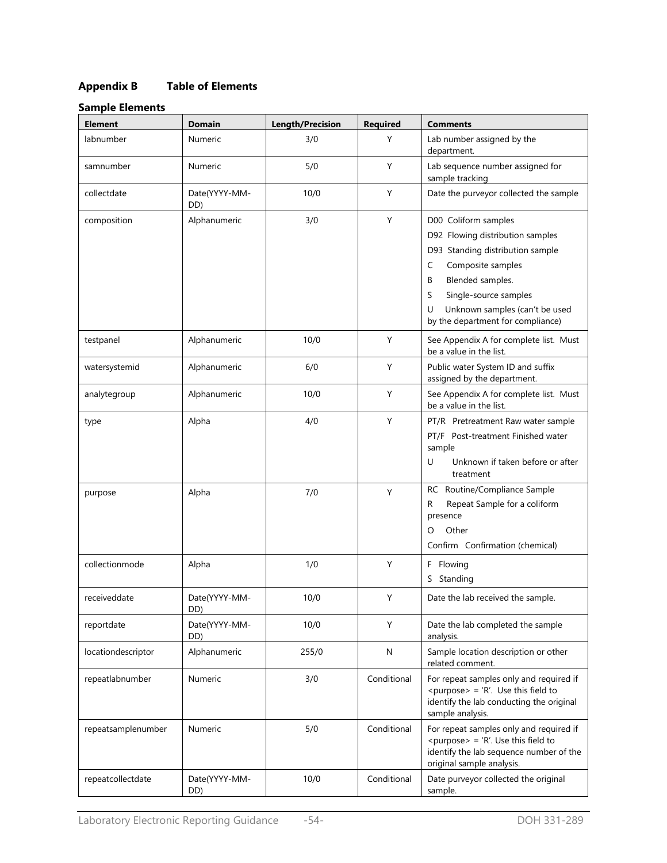## **Appendix B Table of Elements**

## **Sample Elements**

| <b>Element</b>     | <b>Domain</b>        | <b>Length/Precision</b> | <b>Required</b> | <b>Comments</b>                                                                                                                                                                                                                                           |
|--------------------|----------------------|-------------------------|-----------------|-----------------------------------------------------------------------------------------------------------------------------------------------------------------------------------------------------------------------------------------------------------|
| labnumber          | Numeric              | 3/0                     | Y               | Lab number assigned by the<br>department.                                                                                                                                                                                                                 |
| samnumber          | Numeric              | 5/0                     | Y               | Lab sequence number assigned for<br>sample tracking                                                                                                                                                                                                       |
| collectdate        | Date(YYYY-MM-<br>DD) | 10/0                    | Y               | Date the purveyor collected the sample                                                                                                                                                                                                                    |
| composition        | Alphanumeric         | 3/0                     | Y               | D00 Coliform samples<br>D92 Flowing distribution samples<br>D93 Standing distribution sample<br>Composite samples<br>C<br>Blended samples.<br>B<br>Single-source samples<br>S<br>Unknown samples (can't be used<br>U<br>by the department for compliance) |
| testpanel          | Alphanumeric         | 10/0                    | Y               | See Appendix A for complete list. Must<br>be a value in the list.                                                                                                                                                                                         |
| watersystemid      | Alphanumeric         | 6/0                     | Y               | Public water System ID and suffix<br>assigned by the department.                                                                                                                                                                                          |
| analytegroup       | Alphanumeric         | 10/0                    | Y               | See Appendix A for complete list. Must<br>be a value in the list.                                                                                                                                                                                         |
| type               | Alpha                | 4/0                     | Y               | PT/R Pretreatment Raw water sample<br>PT/F Post-treatment Finished water<br>sample<br>U<br>Unknown if taken before or after<br>treatment                                                                                                                  |
| purpose            | Alpha                | 7/0                     | Y               | RC Routine/Compliance Sample<br>Repeat Sample for a coliform<br>R<br>presence<br>Other<br>O<br>Confirm Confirmation (chemical)                                                                                                                            |
| collectionmode     | Alpha                | 1/0                     | Y               | Flowing<br>F.<br>Standing<br>S.                                                                                                                                                                                                                           |
| receiveddate       | Date(YYYY-MM-<br>DD) | 10/0                    | Υ               | Date the lab received the sample.                                                                                                                                                                                                                         |
| reportdate         | Date(YYYY-MM-<br>DD) | 10/0                    | Y               | Date the lab completed the sample<br>analysis.                                                                                                                                                                                                            |
| locationdescriptor | Alphanumeric         | 255/0                   | N               | Sample location description or other<br>related comment.                                                                                                                                                                                                  |
| repeatlabnumber    | Numeric              | 3/0                     | Conditional     | For repeat samples only and required if<br><purpose> = 'R'. Use this field to<br/>identify the lab conducting the original<br/>sample analysis.</purpose>                                                                                                 |
| repeatsamplenumber | Numeric              | 5/0                     | Conditional     | For repeat samples only and required if<br><purpose> = 'R'. Use this field to<br/>identify the lab sequence number of the<br/>original sample analysis.</purpose>                                                                                         |
| repeatcollectdate  | Date(YYYY-MM-<br>DD) | 10/0                    | Conditional     | Date purveyor collected the original<br>sample.                                                                                                                                                                                                           |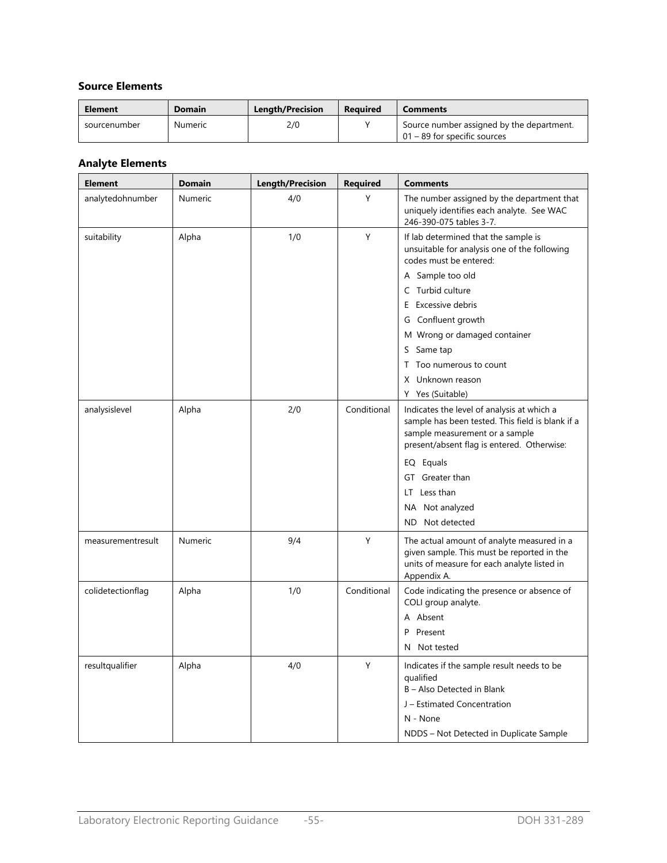### **Source Elements**

| Element      | Domain  | <b>Length/Precision</b> | <b>Required</b> | <b>Comments</b>                                                              |
|--------------|---------|-------------------------|-----------------|------------------------------------------------------------------------------|
| sourcenumber | Numeric | 2/0                     |                 | Source number assigned by the department.<br>$101 - 89$ for specific sources |

## **Analyte Elements**

| <b>Element</b>    | <b>Domain</b> | <b>Length/Precision</b> | <b>Required</b> | <b>Comments</b>                                                                                                                                                                                                                                                                                                     |
|-------------------|---------------|-------------------------|-----------------|---------------------------------------------------------------------------------------------------------------------------------------------------------------------------------------------------------------------------------------------------------------------------------------------------------------------|
| analytedohnumber  | Numeric       | 4/0                     | Y               | The number assigned by the department that<br>uniquely identifies each analyte. See WAC<br>246-390-075 tables 3-7.                                                                                                                                                                                                  |
| suitability       | Alpha         | 1/0                     | Υ               | If lab determined that the sample is<br>unsuitable for analysis one of the following<br>codes must be entered:<br>A Sample too old<br>C Turbid culture<br>E Excessive debris<br>G Confluent growth<br>M Wrong or damaged container<br>S Same tap<br>T Too numerous to count<br>X Unknown reason<br>Y Yes (Suitable) |
| analysislevel     | Alpha         | 2/0                     | Conditional     | Indicates the level of analysis at which a<br>sample has been tested. This field is blank if a<br>sample measurement or a sample<br>present/absent flag is entered. Otherwise:<br>EQ Equals<br>GT Greater than<br>LT Less than<br>NA Not analyzed<br>Not detected<br>ND.                                            |
| measurementresult | Numeric       | 9/4                     | Υ               | The actual amount of analyte measured in a<br>given sample. This must be reported in the<br>units of measure for each analyte listed in<br>Appendix A.                                                                                                                                                              |
| colidetectionflag | Alpha         | 1/0                     | Conditional     | Code indicating the presence or absence of<br>COLI group analyte.<br>A Absent<br>P<br>Present<br>N Not tested                                                                                                                                                                                                       |
| resultqualifier   | Alpha         | 4/0                     | Y               | Indicates if the sample result needs to be<br>qualified<br>B - Also Detected in Blank<br>J - Estimated Concentration<br>N - None<br>NDDS - Not Detected in Duplicate Sample                                                                                                                                         |